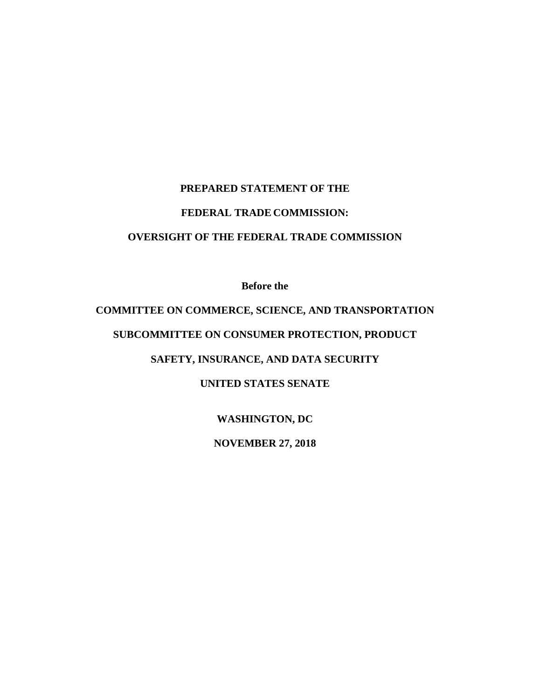## **PREPARED STATEMENT OF THE FEDERAL TRADE COMMISSION: OVERSIGHT OF THE FEDERAL TRADE COMMISSION**

**Before the**

# **COMMITTEE ON COMMERCE, SCIENCE, AND TRANSPORTATION**

## **SUBCOMMITTEE ON CONSUMER PROTECTION, PRODUCT**

## **SAFETY, INSURANCE, AND DATA SECURITY**

## **UNITED STATES SENATE**

## **WASHINGTON, DC**

## **NOVEMBER 27, 2018**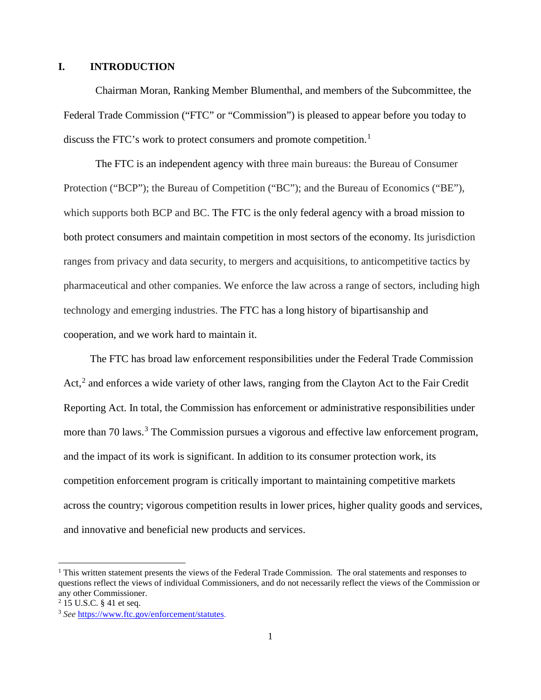#### **I. INTRODUCTION**

Chairman Moran, Ranking Member Blumenthal, and members of the Subcommittee, the Federal Trade Commission ("FTC" or "Commission") is pleased to appear before you today to discuss the FTC's work to protect consumers and promote competition.<sup>[1](#page-1-0)</sup>

The FTC is an independent agency with three main bureaus: the Bureau of Consumer Protection ("BCP"); the Bureau of Competition ("BC"); and the Bureau of Economics ("BE"), which supports both BCP and BC. The FTC is the only federal agency with a broad mission to both protect consumers and maintain competition in most sectors of the economy. Its jurisdiction ranges from privacy and data security, to mergers and acquisitions, to anticompetitive tactics by pharmaceutical and other companies. We enforce the law across a range of sectors, including high technology and emerging industries. The FTC has a long history of bipartisanship and cooperation, and we work hard to maintain it.

The FTC has broad law enforcement responsibilities under the Federal Trade Commission Act,<sup>[2](#page-1-1)</sup> and enforces a wide variety of other laws, ranging from the Clayton Act to the Fair Credit Reporting Act. In total, the Commission has enforcement or administrative responsibilities under more than 70 laws.<sup>[3](#page-1-2)</sup> The Commission pursues a vigorous and effective law enforcement program, and the impact of its work is significant. In addition to its consumer protection work, its competition enforcement program is critically important to maintaining competitive markets across the country; vigorous competition results in lower prices, higher quality goods and services, and innovative and beneficial new products and services.

<span id="page-1-0"></span> $<sup>1</sup>$  This written statement presents the views of the Federal Trade Commission. The oral statements and responses to</sup> questions reflect the views of individual Commissioners, and do not necessarily reflect the views of the Commission or any other Commissioner.

<span id="page-1-1"></span> $2$  15 U.S.C. § 41 et seq.

<span id="page-1-2"></span><sup>3</sup> *See* [https://www.ftc.gov/enforcement/statutes.](https://www.ftc.gov/enforcement/statutes)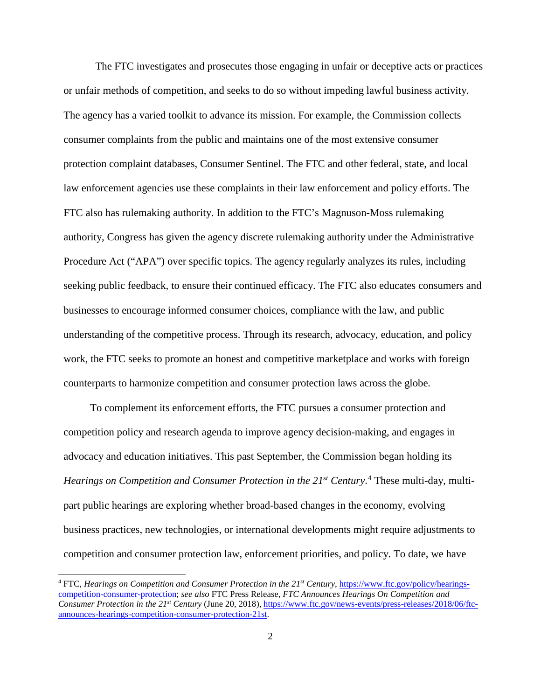The FTC investigates and prosecutes those engaging in unfair or deceptive acts or practices or unfair methods of competition, and seeks to do so without impeding lawful business activity. The agency has a varied toolkit to advance its mission. For example, the Commission collects consumer complaints from the public and maintains one of the most extensive consumer protection complaint databases, Consumer Sentinel. The FTC and other federal, state, and local law enforcement agencies use these complaints in their law enforcement and policy efforts. The FTC also has rulemaking authority. In addition to the FTC's Magnuson-Moss rulemaking authority, Congress has given the agency discrete rulemaking authority under the Administrative Procedure Act ("APA") over specific topics. The agency regularly analyzes its rules, including seeking public feedback, to ensure their continued efficacy. The FTC also educates consumers and businesses to encourage informed consumer choices, compliance with the law, and public understanding of the competitive process. Through its research, advocacy, education, and policy work, the FTC seeks to promote an honest and competitive marketplace and works with foreign counterparts to harmonize competition and consumer protection laws across the globe.

To complement its enforcement efforts, the FTC pursues a consumer protection and competition policy and research agenda to improve agency decision-making, and engages in advocacy and education initiatives. This past September, the Commission began holding its Hearings on Competition and Consumer Protection in the 21<sup>st</sup> Century.<sup>[4](#page-2-0)</sup> These multi-day, multipart public hearings are exploring whether broad-based changes in the economy, evolving business practices, new technologies, or international developments might require adjustments to competition and consumer protection law, enforcement priorities, and policy. To date, we have

<span id="page-2-0"></span><sup>&</sup>lt;sup>4</sup> FTC, *Hearings on Competition and Consumer Protection in the 21<sup>st</sup> Century, [https://www.ftc.gov/policy/hearings](https://www.ftc.gov/policy/hearings-competition-consumer-protection)*[competition-consumer-protection;](https://www.ftc.gov/policy/hearings-competition-consumer-protection) *see also* FTC Press Release, *FTC Announces Hearings On Competition and Consumer Protection in the 21st Century* (June 20, 2018)[, https://www.ftc.gov/news-events/press-releases/2018/06/ftc](https://www.ftc.gov/news-events/press-releases/2018/06/ftc-announces-hearings-competition-consumer-protection-21st)[announces-hearings-competition-consumer-protection-21st.](https://www.ftc.gov/news-events/press-releases/2018/06/ftc-announces-hearings-competition-consumer-protection-21st)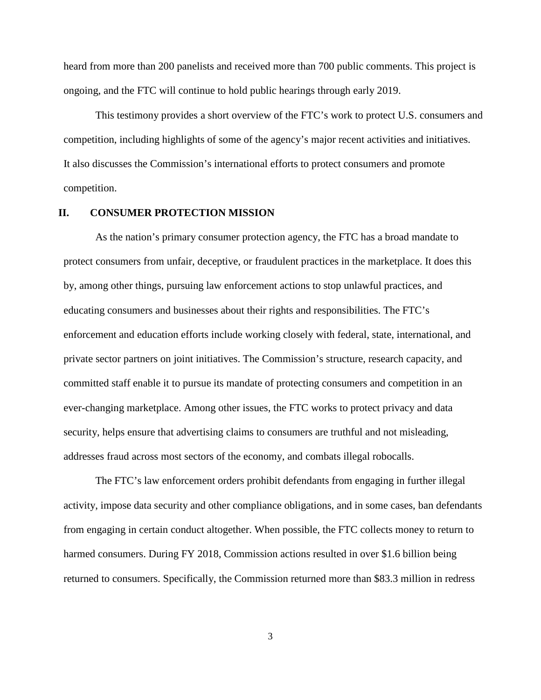heard from more than 200 panelists and received more than 700 public comments. This project is ongoing, and the FTC will continue to hold public hearings through early 2019.

This testimony provides a short overview of the FTC's work to protect U.S. consumers and competition, including highlights of some of the agency's major recent activities and initiatives. It also discusses the Commission's international efforts to protect consumers and promote competition.

#### **II. CONSUMER PROTECTION MISSION**

As the nation's primary consumer protection agency, the FTC has a broad mandate to protect consumers from unfair, deceptive, or fraudulent practices in the marketplace. It does this by, among other things, pursuing law enforcement actions to stop unlawful practices, and educating consumers and businesses about their rights and responsibilities. The FTC's enforcement and education efforts include working closely with federal, state, international, and private sector partners on joint initiatives. The Commission's structure, research capacity, and committed staff enable it to pursue its mandate of protecting consumers and competition in an ever-changing marketplace. Among other issues, the FTC works to protect privacy and data security, helps ensure that advertising claims to consumers are truthful and not misleading, addresses fraud across most sectors of the economy, and combats illegal robocalls.

The FTC's law enforcement orders prohibit defendants from engaging in further illegal activity, impose data security and other compliance obligations, and in some cases, ban defendants from engaging in certain conduct altogether. When possible, the FTC collects money to return to harmed consumers. During FY 2018, Commission actions resulted in over \$1.6 billion being returned to consumers. Specifically, the Commission returned more than \$83.3 million in redress

3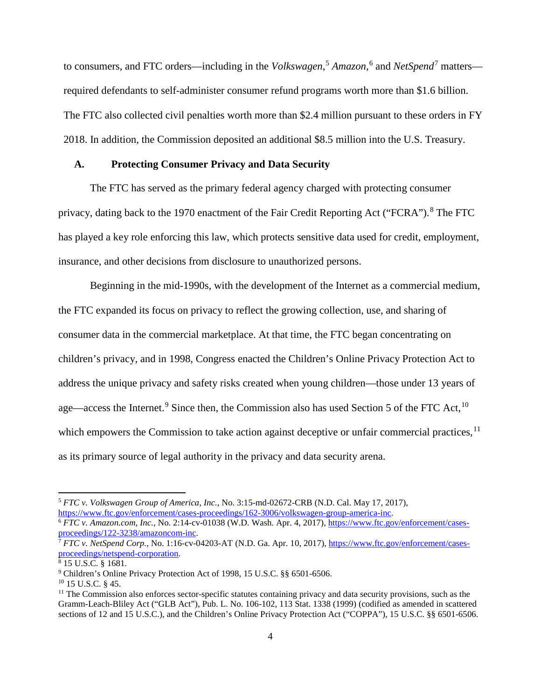to consumers, and FTC orders—including in the *Volkswagen*, [5](#page-4-0) *Amazon*, [6](#page-4-1) and *NetSpend*[7](#page-4-2) matters required defendants to self-administer consumer refund programs worth more than \$1.6 billion. The FTC also collected civil penalties worth more than \$2.4 million pursuant to these orders in FY 2018. In addition, the Commission deposited an additional \$8.5 million into the U.S. Treasury.

#### **A. Protecting Consumer Privacy and Data Security**

The FTC has served as the primary federal agency charged with protecting consumer privacy, dating back to the 1970 enactment of the Fair Credit Reporting Act ("FCRA").<sup>[8](#page-4-3)</sup> The FTC has played a key role enforcing this law, which protects sensitive data used for credit, employment, insurance, and other decisions from disclosure to unauthorized persons.

Beginning in the mid-1990s, with the development of the Internet as a commercial medium, the FTC expanded its focus on privacy to reflect the growing collection, use, and sharing of consumer data in the commercial marketplace. At that time, the FTC began concentrating on children's privacy, and in 1998, Congress enacted the Children's Online Privacy Protection Act to address the unique privacy and safety risks created when young children—those under 13 years of age—access the Internet.<sup>[9](#page-4-4)</sup> Since then, the Commission also has used Section 5 of the FTC Act,  $10$ which empowers the Commission to take action against deceptive or unfair commercial practices,  $\frac{11}{11}$  $\frac{11}{11}$  $\frac{11}{11}$ as its primary source of legal authority in the privacy and data security arena.

<span id="page-4-0"></span><sup>&</sup>lt;sup>5</sup> *FTC v. Volkswagen Group of America, Inc.*, No. 3:15-md-02672-CRB (N.D. Cal. May 17, 2017), https://www.ftc.gov/enforcement/cases-proceedings/162-3006/volkswagen-group-america-inc.

<span id="page-4-1"></span><sup>&</sup>lt;sup>6</sup> FTC v. Amazon.com, Inc., No. 2:14-cv-01038 (W.D. Wash. Apr. 4, 2017)[, https://www.ftc.gov/enforcement/cases](https://www.ftc.gov/enforcement/cases-proceedings/122-3238/amazoncom-inc)[proceedings/122-3238/amazoncom-inc.](https://www.ftc.gov/enforcement/cases-proceedings/122-3238/amazoncom-inc)<br><sup>7</sup> *FTC v. NetSpend Corp.*, No. 1:16-cv-04203-AT (N.D. Ga. Apr. 10, 2017), [https://www.ftc.gov/enforcement/cases-](https://www.ftc.gov/enforcement/cases-proceedings/netspend-corporation)

<span id="page-4-2"></span>[proceedings/netspend-corporation.](https://www.ftc.gov/enforcement/cases-proceedings/netspend-corporation)<br><sup>8</sup> 15 U.S.C. § 1681.

<span id="page-4-3"></span>

<span id="page-4-4"></span><sup>9</sup> Children's Online Privacy Protection Act of 1998, 15 U.S.C. §§ 6501-6506.

<span id="page-4-5"></span><sup>&</sup>lt;sup>10</sup> 15 U.S.C. § 45.

<span id="page-4-6"></span> $11$  The Commission also enforces sector-specific statutes containing privacy and data security provisions, such as the Gramm-Leach-Bliley Act ("GLB Act"), Pub. L. No. 106-102, 113 Stat. 1338 (1999) (codified as amended in scattered sections of 12 and 15 U.S.C.), and the Children's Online Privacy Protection Act ("COPPA"), 15 U.S.C. §§ 6501-6506.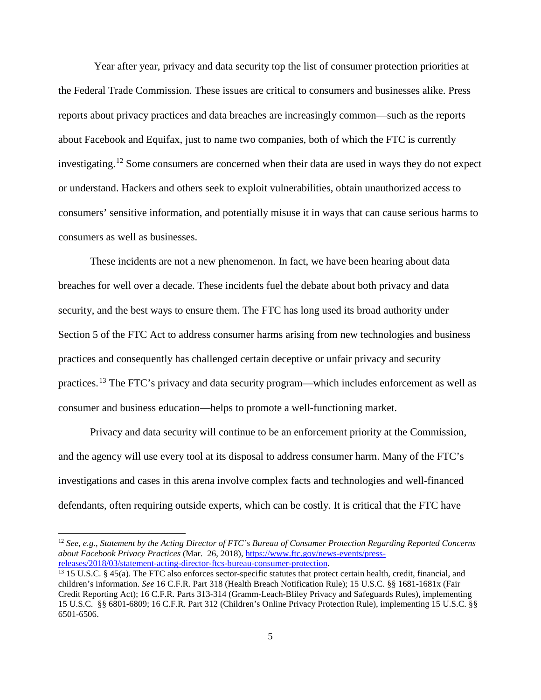Year after year, privacy and data security top the list of consumer protection priorities at the Federal Trade Commission. These issues are critical to consumers and businesses alike. Press reports about privacy practices and data breaches are increasingly common—such as the reports about Facebook and Equifax, just to name two companies, both of which the FTC is currently investigating.[12](#page-5-0) Some consumers are concerned when their data are used in ways they do not expect or understand. Hackers and others seek to exploit vulnerabilities, obtain unauthorized access to consumers' sensitive information, and potentially misuse it in ways that can cause serious harms to consumers as well as businesses.

These incidents are not a new phenomenon. In fact, we have been hearing about data breaches for well over a decade. These incidents fuel the debate about both privacy and data security, and the best ways to ensure them. The FTC has long used its broad authority under Section 5 of the FTC Act to address consumer harms arising from new technologies and business practices and consequently has challenged certain deceptive or unfair privacy and security practices.<sup>[13](#page-5-1)</sup> The FTC's privacy and data security program—which includes enforcement as well as consumer and business education—helps to promote a well-functioning market.

Privacy and data security will continue to be an enforcement priority at the Commission, and the agency will use every tool at its disposal to address consumer harm. Many of the FTC's investigations and cases in this arena involve complex facts and technologies and well-financed defendants, often requiring outside experts, which can be costly. It is critical that the FTC have

<span id="page-5-0"></span> <sup>12</sup> *See, e.g.*, *Statement by the Acting Director of FTC's Bureau of Consumer Protection Regarding Reported Concerns about Facebook Privacy Practices* (Mar. 26, 2018), [https://www.ftc.gov/news-events/press-](https://www.ftc.gov/news-events/press-releases/2018/03/statement-acting-director-ftcs-bureau-consumer-protection)

<span id="page-5-1"></span><sup>&</sup>lt;sup>13</sup> 15 U.S.C. § 45(a). The FTC also enforces sector-specific statutes that protect certain health, credit, financial, and children's information. *See* 16 C.F.R. Part 318 (Health Breach Notification Rule); 15 U.S.C. §§ 1681-1681x (Fair Credit Reporting Act); 16 C.F.R. Parts 313-314 (Gramm-Leach-Bliley Privacy and Safeguards Rules), implementing 15 U.S.C. §§ 6801-6809; 16 C.F.R. Part 312 (Children's Online Privacy Protection Rule), implementing 15 U.S.C. §§ 6501-6506.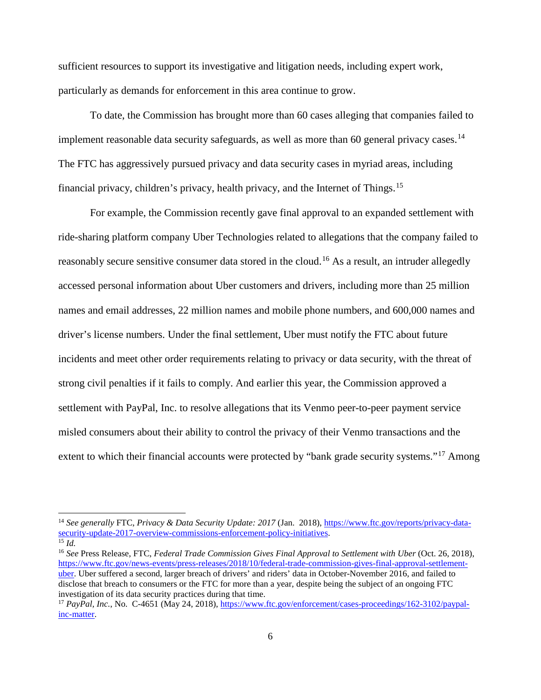sufficient resources to support its investigative and litigation needs, including expert work, particularly as demands for enforcement in this area continue to grow.

To date, the Commission has brought more than 60 cases alleging that companies failed to implement reasonable data security safeguards, as well as more than 60 general privacy cases.<sup>[14](#page-6-0)</sup> The FTC has aggressively pursued privacy and data security cases in myriad areas, including financial privacy, children's privacy, health privacy, and the Internet of Things.<sup>[15](#page-6-1)</sup>

For example, the Commission recently gave final approval to an expanded settlement with ride-sharing platform company Uber Technologies related to allegations that the company failed to reasonably secure sensitive consumer data stored in the cloud.<sup>[16](#page-6-2)</sup> As a result, an intruder allegedly accessed personal information about Uber customers and drivers, including more than 25 million names and email addresses, 22 million names and mobile phone numbers, and 600,000 names and driver's license numbers. Under the final settlement, Uber must notify the FTC about future incidents and meet other order requirements relating to privacy or data security, with the threat of strong civil penalties if it fails to comply. And earlier this year, the Commission approved a settlement with PayPal, Inc. to resolve allegations that its Venmo peer-to-peer payment service misled consumers about their ability to control the privacy of their Venmo transactions and the extent to which their financial accounts were protected by "bank grade security systems."<sup>[17](#page-6-3)</sup> Among

<span id="page-6-0"></span> <sup>14</sup> *See generally* FTC, *Privacy & Data Security Update: 2017* (Jan. 2018), [https://www.ftc.gov/reports/privacy-data](https://www.ftc.gov/reports/privacy-data-security-update-2017-overview-commissions-enforcement-policy-initiatives)[security-update-2017-overview-commissions-enforcement-policy-initiatives.](https://www.ftc.gov/reports/privacy-data-security-update-2017-overview-commissions-enforcement-policy-initiatives) <sup>15</sup> *Id.*

<span id="page-6-1"></span>

<span id="page-6-2"></span><sup>16</sup> *See* Press Release, FTC, *Federal Trade Commission Gives Final Approval to Settlement with Uber* (Oct. 26, 2018), [https://www.ftc.gov/news-events/press-releases/2018/10/federal-trade-commission-gives-final-approval-settlement](https://www.ftc.gov/news-events/press-releases/2018/10/federal-trade-commission-gives-final-approval-settlement-uber)[uber.](https://www.ftc.gov/news-events/press-releases/2018/10/federal-trade-commission-gives-final-approval-settlement-uber) Uber suffered a second, larger breach of drivers' and riders' data in October-November 2016, and failed to disclose that breach to consumers or the FTC for more than a year, despite being the subject of an ongoing FTC investigation of its data security practices during that time.

<span id="page-6-3"></span><sup>17</sup> *PayPal, Inc.*, No. C-4651 (May 24, 2018)[, https://www.ftc.gov/enforcement/cases-proceedings/162-3102/paypal](https://www.ftc.gov/enforcement/cases-proceedings/162-3102/paypal-inc-matter)[inc-matter.](https://www.ftc.gov/enforcement/cases-proceedings/162-3102/paypal-inc-matter)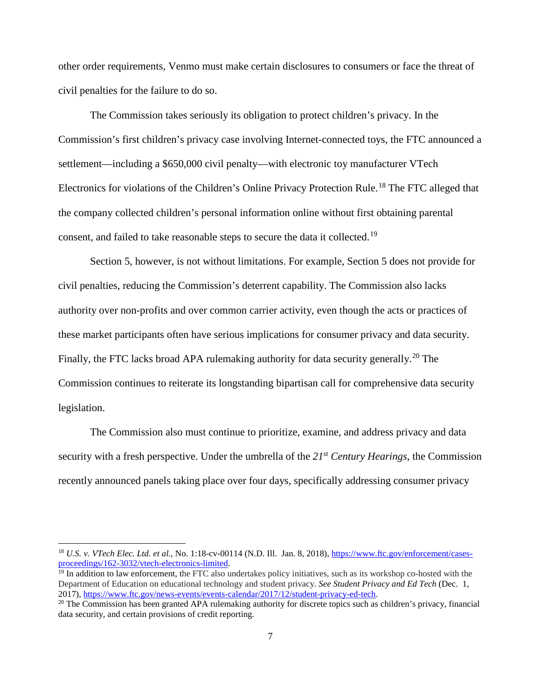other order requirements, Venmo must make certain disclosures to consumers or face the threat of civil penalties for the failure to do so.

The Commission takes seriously its obligation to protect children's privacy. In the Commission's first children's privacy case involving Internet-connected toys, the FTC announced a settlement—including a \$650,000 civil penalty—with electronic toy manufacturer VTech Electronics for violations of the Children's Online Privacy Protection Rule.<sup>[18](#page-7-0)</sup> The FTC alleged that the company collected children's personal information online without first obtaining parental consent, and failed to take reasonable steps to secure the data it collected.[19](#page-7-1)

Section 5, however, is not without limitations. For example, Section 5 does not provide for civil penalties, reducing the Commission's deterrent capability. The Commission also lacks authority over non-profits and over common carrier activity, even though the acts or practices of these market participants often have serious implications for consumer privacy and data security. Finally, the FTC lacks broad APA rulemaking authority for data security generally.<sup>[20](#page-7-2)</sup> The Commission continues to reiterate its longstanding bipartisan call for comprehensive data security legislation.

The Commission also must continue to prioritize, examine, and address privacy and data security with a fresh perspective. Under the umbrella of the *21st Century Hearings*, the Commission recently announced panels taking place over four days, specifically addressing consumer privacy

<span id="page-7-0"></span><sup>&</sup>lt;sup>18</sup> *U.S. v. VTech Elec. Ltd. et al.*, No. 1:18-cv-00114 (N.D. Ill. Jan. 8, 2018), https://www.ftc.gov/enforcement/cases-<br>proceedings/162-3032/vtech-electronics-limited.

<span id="page-7-1"></span> $\frac{1}{2}$  In addition to law enforcement, the FTC also undertakes policy initiatives, such as its workshop co-hosted with the Department of Education on educational technology and student privacy. *See Student Privacy and Ed Tech* (Dec. 1, 2017), https://www.ftc.gov/news-events/events-calendar/2017/12/student-privacy-ed-tech.

<span id="page-7-2"></span><sup>&</sup>lt;sup>20</sup> The Commission has been granted APA rulemaking authority for discrete topics such as children's privacy, financial data security, and certain provisions of credit reporting.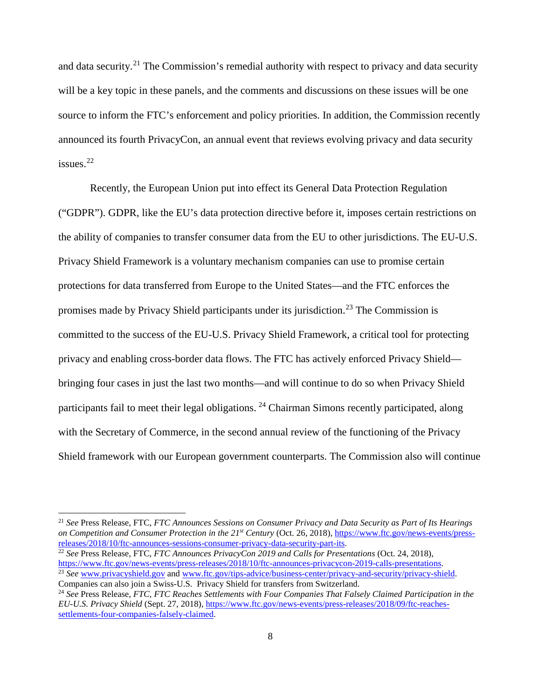and data security.<sup>[21](#page-8-0)</sup> The Commission's remedial authority with respect to privacy and data security will be a key topic in these panels, and the comments and discussions on these issues will be one source to inform the FTC's enforcement and policy priorities. In addition, the Commission recently announced its fourth PrivacyCon, an annual event that reviews evolving privacy and data security issues. [22](#page-8-1)

Recently, the European Union put into effect its General Data Protection Regulation ("GDPR"). GDPR, like the EU's data protection directive before it, imposes certain restrictions on the ability of companies to transfer consumer data from the EU to other jurisdictions. The EU-U.S. Privacy Shield Framework is a voluntary mechanism companies can use to promise certain protections for data transferred from Europe to the United States—and the FTC enforces the promises made by Privacy Shield participants under its jurisdiction. [23](#page-8-2) The Commission is committed to the success of the EU-U.S. Privacy Shield Framework, a critical tool for protecting privacy and enabling cross-border data flows. The FTC has actively enforced Privacy Shield bringing four cases in just the last two months—and will continue to do so when Privacy Shield participants fail to meet their legal obligations.  $^{24}$  $^{24}$  $^{24}$  Chairman Simons recently participated, along with the Secretary of Commerce, in the second annual review of the functioning of the Privacy Shield framework with our European government counterparts. The Commission also will continue

<span id="page-8-0"></span> 21 *See* Press Release, FTC, *FTC Announces Sessions on Consumer Privacy and Data Security as Part of Its Hearings on Competition and Consumer Protection in the 21st Century* (Oct. 26, 2018), [https://www.ftc.gov/news-events/press](https://www.ftc.gov/news-events/press-releases/2018/10/ftc-announces-sessions-consumer-privacy-data-security-part-its)[releases/2018/10/ftc-announces-sessions-consumer-privacy-data-security-part-its.](https://www.ftc.gov/news-events/press-releases/2018/10/ftc-announces-sessions-consumer-privacy-data-security-part-its)

- <span id="page-8-1"></span><sup>22</sup> *See* Press Release, FTC, *FTC Announces PrivacyCon 2019 and Calls for Presentations* (Oct. 24, 2018), https://www.ftc.gov/news-events/press-releases/2018/10/ftc-announces-privacycon-2019-calls-presentations. <sup>23</sup> See [www.privacyshield.gov](http://www.privacyshield.gov/) and [www.ftc.gov/tips-advice/business-center/privacy-and-security/privacy-shield.](http://www.ftc.gov/tips-advice/business-center/privacy-and-security/privacy-shield) Companies can also join a Swiss-U.S. Privacy Shield for transfers from Switzerland.
- <span id="page-8-3"></span><span id="page-8-2"></span><sup>24</sup> *See* Press Release, *FTC, FTC Reaches Settlements with Four Companies That Falsely Claimed Participation in the EU-U.S. Privacy Shield* (Sept. 27, 2018), [https://www.ftc.gov/news-events/press-releases/2018/09/ftc-reaches](https://www.ftc.gov/news-events/press-releases/2018/09/ftc-reaches-settlements-four-companies-falsely-claimed)[settlements-four-companies-falsely-claimed.](https://www.ftc.gov/news-events/press-releases/2018/09/ftc-reaches-settlements-four-companies-falsely-claimed)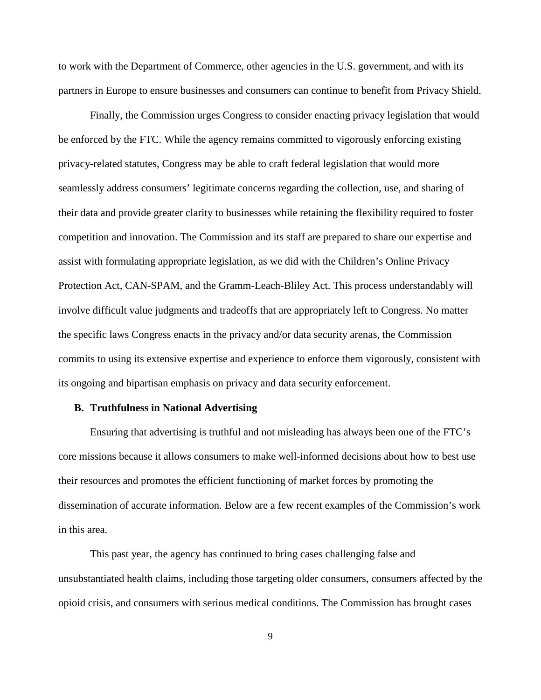to work with the Department of Commerce, other agencies in the U.S. government, and with its partners in Europe to ensure businesses and consumers can continue to benefit from Privacy Shield.

Finally, the Commission urges Congress to consider enacting privacy legislation that would be enforced by the FTC. While the agency remains committed to vigorously enforcing existing privacy-related statutes, Congress may be able to craft federal legislation that would more seamlessly address consumers' legitimate concerns regarding the collection, use, and sharing of their data and provide greater clarity to businesses while retaining the flexibility required to foster competition and innovation. The Commission and its staff are prepared to share our expertise and assist with formulating appropriate legislation, as we did with the Children's Online Privacy Protection Act, CAN-SPAM, and the Gramm-Leach-Bliley Act. This process understandably will involve difficult value judgments and tradeoffs that are appropriately left to Congress. No matter the specific laws Congress enacts in the privacy and/or data security arenas, the Commission commits to using its extensive expertise and experience to enforce them vigorously, consistent with its ongoing and bipartisan emphasis on privacy and data security enforcement.

#### **B. Truthfulness in National Advertising**

Ensuring that advertising is truthful and not misleading has always been one of the FTC's core missions because it allows consumers to make well-informed decisions about how to best use their resources and promotes the efficient functioning of market forces by promoting the dissemination of accurate information. Below are a few recent examples of the Commission's work in this area.

This past year, the agency has continued to bring cases challenging false and unsubstantiated health claims, including those targeting older consumers, consumers affected by the opioid crisis, and consumers with serious medical conditions. The Commission has brought cases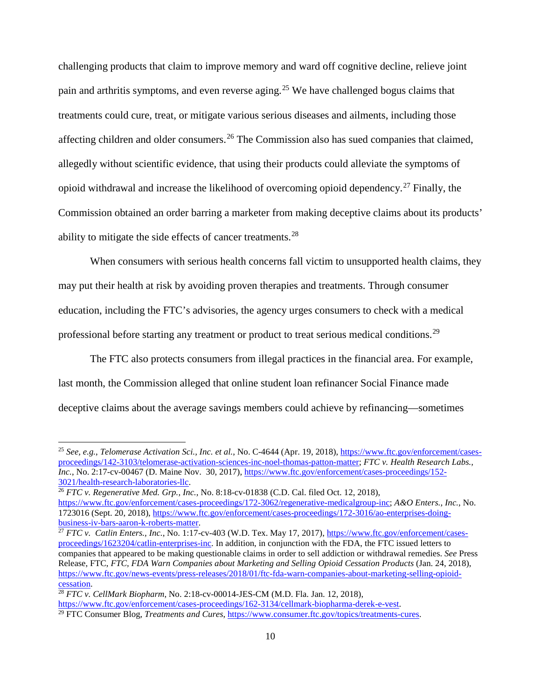challenging products that claim to improve memory and ward off cognitive decline, relieve joint pain and arthritis symptoms, and even reverse aging.[25](#page-10-0) We have challenged bogus claims that treatments could cure, treat, or mitigate various serious diseases and ailments, including those affecting children and older consumers.<sup>[26](#page-10-1)</sup> The Commission also has sued companies that claimed, allegedly without scientific evidence, that using their products could alleviate the symptoms of opioid withdrawal and increase the likelihood of overcoming opioid dependency.<sup>[27](#page-10-2)</sup> Finally, the Commission obtained an order barring a marketer from making deceptive claims about its products' ability to mitigate the side effects of cancer treatments.<sup>[28](#page-10-3)</sup>

When consumers with serious health concerns fall victim to unsupported health claims, they may put their health at risk by avoiding proven therapies and treatments. Through consumer education, including the FTC's advisories, the agency urges consumers to check with a medical professional before starting any treatment or product to treat serious medical conditions.<sup>29</sup>

The FTC also protects consumers from illegal practices in the financial area. For example, last month, the Commission alleged that online student loan refinancer Social Finance made deceptive claims about the average savings members could achieve by refinancing—sometimes

<span id="page-10-0"></span> <sup>25</sup> *See, e.g.*, *Telomerase Activation Sci., Inc. et al.*, No. C-4644 (Apr. 19, 2018)[, https://www.ftc.gov/enforcement/cases](https://www.ftc.gov/enforcement/cases-proceedings/142-3103/telomerase-activation-sciences-inc-noel-thomas-patton-matter)[proceedings/142-3103/telomerase-activation-sciences-inc-noel-thomas-patton-matter;](https://www.ftc.gov/enforcement/cases-proceedings/142-3103/telomerase-activation-sciences-inc-noel-thomas-patton-matter) *FTC v. Health Research Labs., Inc.*, No. 2:17-cv-00467 (D. Maine Nov. 30, 2017)[, https://www.ftc.gov/enforcement/cases-proceedings/152-](https://www.ftc.gov/enforcement/cases-proceedings/152-3021/health-research-laboratories-llc)3021/health-research-laboratories-Ilc.

<span id="page-10-1"></span><sup>&</sup>lt;sup>26</sup> *FTC v. Regenerative Med. Grp., Inc., No.* 8:18-cv-01838 (C.D. Cal. filed Oct. 12, 2018), [https://www.ftc.gov/enforcement/cases-proceedings/172-3062/regenerative-medicalgroup-inc;](https://www.ftc.gov/enforcement/cases-proceedings/172-3062/regenerative-medicalgroup-inc) *A&O Enters., Inc.*, No. 1723016 (Sept. 20, 2018), [https://www.ftc.gov/enforcement/cases-proceedings/172-3016/ao-enterprises-doing](https://www.ftc.gov/enforcement/cases-proceedings/172-3016/ao-enterprises-doing-business-iv-bars-aaron-k-roberts-matter)[business-iv-bars-aaron-k-roberts-matter.](https://www.ftc.gov/enforcement/cases-proceedings/172-3016/ao-enterprises-doing-business-iv-bars-aaron-k-roberts-matter)

<span id="page-10-2"></span><sup>27</sup> *FTC v. Catlin Enters., Inc.*, No. 1:17-cv-403 (W.D. Tex. May 17, 2017), [https://www.ftc.gov/enforcement/cases](https://www.ftc.gov/enforcement/cases-proceedings/1623204/catlin-enterprises-inc)[proceedings/1623204/catlin-enterprises-inc.](https://www.ftc.gov/enforcement/cases-proceedings/1623204/catlin-enterprises-inc) In addition, in conjunction with the FDA, the FTC issued letters to companies that appeared to be making questionable claims in order to sell addiction or withdrawal remedies. *See* Press Release, FTC, *FTC, FDA Warn Companies about Marketing and Selling Opioid Cessation Products* (Jan. 24, 2018), https://www.ftc.gov/news-events/press-releases/2018/01/ftc-fda-warn-companies-about-marketing-selling-opioid-<br>cessation.

<span id="page-10-4"></span><span id="page-10-3"></span><sup>&</sup>lt;sup>28</sup> *FTC v. CellMark Biopharm*, No. 2:18-cv-00014-JES-CM (M.D. Fla. Jan. 12, 2018), [https://www.ftc.gov/enforcement/cases-proceedings/162-3134/cellmark-biopharma-derek-e-vest.](https://www.ftc.gov/enforcement/cases-proceedings/162-3134/cellmark-biopharma-derek-e-vest) <sup>29</sup> FTC Consumer Blog, *Treatments and Cures*, [https://www.consumer.ftc.gov/topics/treatments-cures.](https://www.consumer.ftc.gov/topics/treatments-cures)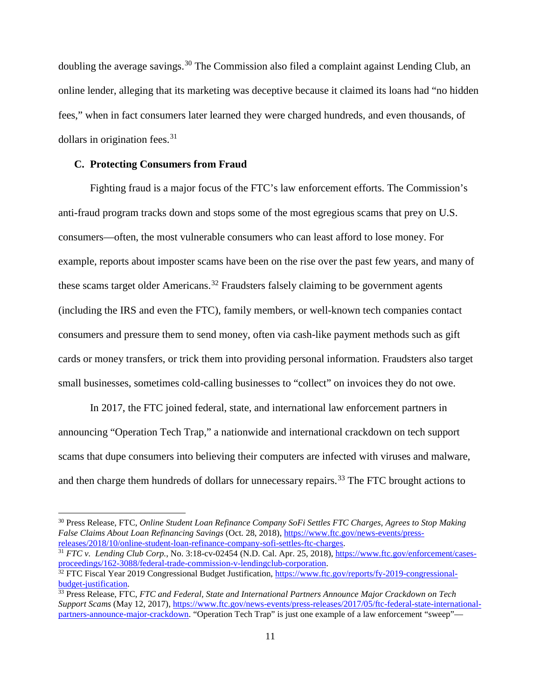doubling the average savings.<sup>[30](#page-11-0)</sup> The Commission also filed a complaint against Lending Club, an online lender, alleging that its marketing was deceptive because it claimed its loans had "no hidden fees," when in fact consumers later learned they were charged hundreds, and even thousands, of dollars in origination fees. $31$ 

#### **C. Protecting Consumers from Fraud**

Fighting fraud is a major focus of the FTC's law enforcement efforts. The Commission's anti-fraud program tracks down and stops some of the most egregious scams that prey on U.S. consumers—often, the most vulnerable consumers who can least afford to lose money. For example, reports about imposter scams have been on the rise over the past few years, and many of these scams target older Americans.<sup>[32](#page-11-2)</sup> Fraudsters falsely claiming to be government agents (including the IRS and even the FTC), family members, or well-known tech companies contact consumers and pressure them to send money, often via cash-like payment methods such as gift cards or money transfers, or trick them into providing personal information. Fraudsters also target small businesses, sometimes cold-calling businesses to "collect" on invoices they do not owe.

In 2017, the FTC joined federal, state, and international law enforcement partners in announcing "Operation Tech Trap," a nationwide and international crackdown on tech support scams that dupe consumers into believing their computers are infected with viruses and malware, and then charge them hundreds of dollars for unnecessary repairs.<sup>[33](#page-11-3)</sup> The FTC brought actions to

<span id="page-11-0"></span> <sup>30</sup> Press Release, FTC, *Online Student Loan Refinance Company SoFi Settles FTC Charges, Agrees to Stop Making False Claims About Loan Refinancing Savings* (Oct. 28, 2018)[, https://www.ftc.gov/news-events/press](https://www.ftc.gov/news-events/press-releases/2018/10/online-student-loan-refinance-company-sofi-settles-ftc-charges)[releases/2018/10/online-student-loan-refinance-company-sofi-settles-ftc-charges.](https://www.ftc.gov/news-events/press-releases/2018/10/online-student-loan-refinance-company-sofi-settles-ftc-charges)

<span id="page-11-1"></span><sup>&</sup>lt;sup>31</sup> *FTC v. Lending Club Corp.*, No. 3:18-cv-02454 (N.D. Cal. Apr. 25, 2018), https://www.ftc.gov/enforcement/cases-<br>proceedings/162-3088/federal-trade-commission-v-lendingclub-corporation.

<span id="page-11-2"></span><sup>&</sup>lt;sup>32</sup> FTC Fiscal Year 2019 Congressional Budget Justification, https://www.ftc.gov/reports/fy-2019-congressional-<br>budget-justification.

<span id="page-11-3"></span><sup>&</sup>lt;sup>33</sup> Press Release, FTC, *FTC and Federal, State and International Partners Announce Major Crackdown on Tech Support Scams* (May 12, 2017)[, https://www.ftc.gov/news-events/press-releases/2017/05/ftc-federal-state-international](https://www.ftc.gov/news-events/press-releases/2017/05/ftc-federal-state-international-partners-announce-major-crackdown)[partners-announce-major-crackdown.](https://www.ftc.gov/news-events/press-releases/2017/05/ftc-federal-state-international-partners-announce-major-crackdown) "Operation Tech Trap" is just one example of a law enforcement "sweep"—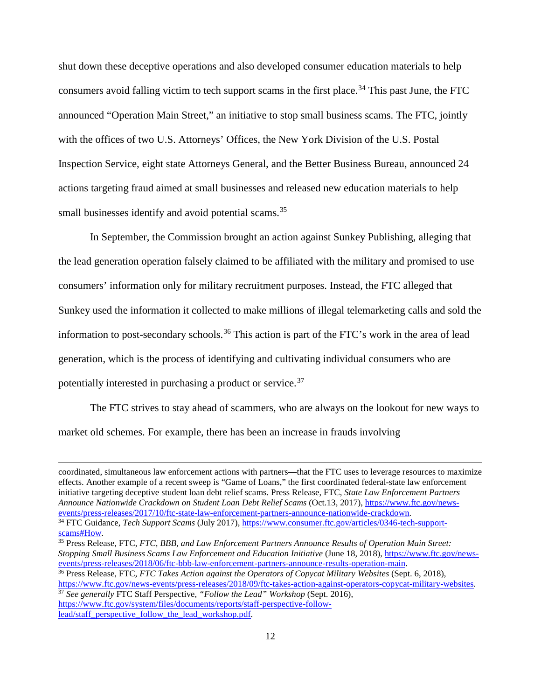shut down these deceptive operations and also developed consumer education materials to help consumers avoid falling victim to tech support scams in the first place.<sup>[34](#page-12-0)</sup> This past June, the FTC announced "Operation Main Street," an initiative to stop small business scams. The FTC, jointly with the offices of two U.S. Attorneys' Offices, the New York Division of the U.S. Postal Inspection Service, eight state Attorneys General, and the Better Business Bureau, announced 24 actions targeting fraud aimed at small businesses and released new education materials to help small businesses identify and avoid potential scams.<sup>[35](#page-12-1)</sup>

In September, the Commission brought an action against Sunkey Publishing, alleging that the lead generation operation falsely claimed to be affiliated with the military and promised to use consumers' information only for military recruitment purposes. Instead, the FTC alleged that Sunkey used the information it collected to make millions of illegal telemarketing calls and sold the information to post-secondary schools.<sup>[36](#page-12-2)</sup> This action is part of the FTC's work in the area of lead generation, which is the process of identifying and cultivating individual consumers who are potentially interested in purchasing a product or service.<sup>[37](#page-12-3)</sup>

The FTC strives to stay ahead of scammers, who are always on the lookout for new ways to market old schemes. For example, there has been an increase in frauds involving

coordinated, simultaneous law enforcement actions with partners—that the FTC uses to leverage resources to maximize effects. Another example of a recent sweep is "Game of Loans," the first coordinated federal-state law enforcement initiative targeting deceptive student loan debt relief scams. Press Release, FTC, *State Law Enforcement Partners Announce Nationwide Crackdown on Student Loan Debt Relief Scams* (Oct.13, 2017), [https://www.ftc.gov/news](https://www.ftc.gov/news-events/press-releases/2017/10/ftc-state-law-enforcement-partners-announce-nationwide-crackdown)[events/press-releases/2017/10/ftc-state-law-enforcement-partners-announce-nationwide-crackdown.](https://www.ftc.gov/news-events/press-releases/2017/10/ftc-state-law-enforcement-partners-announce-nationwide-crackdown) <sup>34</sup> FTC Guidance, *Tech Support Scams* (July 2017), [https://www.consumer.ftc.gov/articles/0346-tech-support-](https://www.consumer.ftc.gov/articles/0346-tech-support-scams#How)

 $\overline{a}$ 

<span id="page-12-1"></span><sup>35</sup> Press Release, FTC, *FTC, BBB, and Law Enforcement Partners Announce Results of Operation Main Street: Stopping Small Business Scams Law Enforcement and Education Initiative* (June 18, 2018)[, https://www.ftc.gov/news](https://www.ftc.gov/news-events/press-releases/2018/06/ftc-bbb-law-enforcement-partners-announce-results-operation-main)[events/press-releases/2018/06/ftc-bbb-law-enforcement-partners-announce-results-operation-main.](https://www.ftc.gov/news-events/press-releases/2018/06/ftc-bbb-law-enforcement-partners-announce-results-operation-main)

<span id="page-12-3"></span><sup>37</sup> *See generally* FTC Staff Perspective, *"Follow the Lead" Workshop* (Sept. 2016), [https://www.ftc.gov/system/files/documents/reports/staff-perspective-follow](https://www.ftc.gov/system/files/documents/reports/staff-perspective-follow-lead/staff_perspective_follow_the_lead_workshop.pdf)[lead/staff\\_perspective\\_follow\\_the\\_lead\\_workshop.pdf.](https://www.ftc.gov/system/files/documents/reports/staff-perspective-follow-lead/staff_perspective_follow_the_lead_workshop.pdf)

<span id="page-12-0"></span>[scams#How.](https://www.consumer.ftc.gov/articles/0346-tech-support-scams#How)

<span id="page-12-2"></span><sup>36</sup> Press Release, FTC, *FTC Takes Action against the Operators of Copycat Military Websites* (Sept. 6, 2018), [https://www.ftc.gov/news-events/press-releases/2018/09/ftc-takes-action-against-operators-copycat-military-websites.](https://www.ftc.gov/news-events/press-releases/2018/09/ftc-takes-action-against-operators-copycat-military-websites)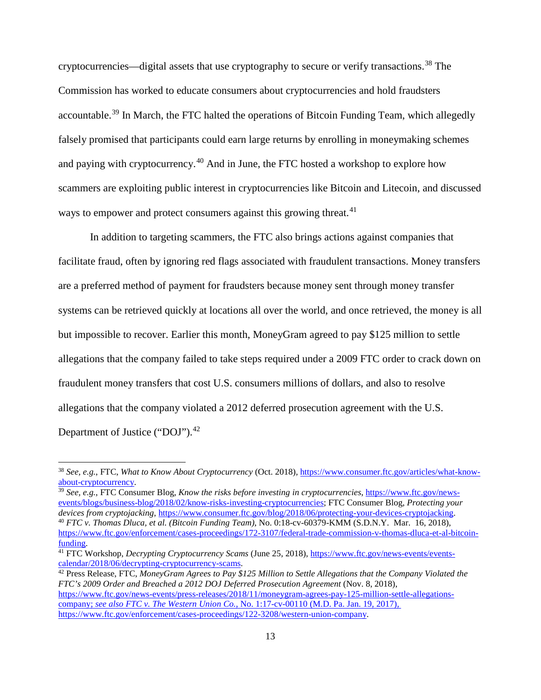cryptocurrencies—digital assets that use cryptography to secure or verify transactions. [38](#page-13-0) The Commission has worked to educate consumers about cryptocurrencies and hold fraudsters accountable.<sup>[39](#page-13-1)</sup> In March, the FTC halted the operations of Bitcoin Funding Team, which allegedly falsely promised that participants could earn large returns by enrolling in moneymaking schemes and paying with cryptocurrency.[40](#page-13-2) And in June, the FTC hosted a workshop to explore how scammers are exploiting public interest in cryptocurrencies like Bitcoin and Litecoin, and discussed ways to empower and protect consumers against this growing threat.<sup>[41](#page-13-3)</sup>

In addition to targeting scammers, the FTC also brings actions against companies that facilitate fraud, often by ignoring red flags associated with fraudulent transactions. Money transfers are a preferred method of payment for fraudsters because money sent through money transfer systems can be retrieved quickly at locations all over the world, and once retrieved, the money is all but impossible to recover. Earlier this month, MoneyGram agreed to pay \$125 million to settle allegations that the company failed to take steps required under a 2009 FTC order to crack down on fraudulent money transfers that cost U.S. consumers millions of dollars, and also to resolve allegations that the company violated a 2012 deferred prosecution agreement with the U.S. Department of Justice ("DOJ").<sup>42</sup>

<span id="page-13-2"></span><span id="page-13-1"></span><sup>39</sup> *See, e.g.*, FTC Consumer Blog, *Know the risks before investing in cryptocurrencies*, [https://www.ftc.gov/news](https://www.ftc.gov/news-events/blogs/business-blog/2018/02/know-risks-investing-cryptocurrencies)[events/blogs/business-blog/2018/02/know-risks-investing-cryptocurrencies;](https://www.ftc.gov/news-events/blogs/business-blog/2018/02/know-risks-investing-cryptocurrencies) FTC Consumer Blog, *Protecting your devices from cryptojacking*, [https://www.consumer.ftc.gov/blog/2018/06/protecting-your-devices-cryptojacking.](https://www.consumer.ftc.gov/blog/2018/06/protecting-your-devices-cryptojacking) <sup>40</sup> *FTC v. Thomas Dluca, et al. (Bitcoin Funding Team)*, No. 0:18-cv-60379-KMM (S.D.N.Y. Mar. 16, 2018), [https://www.ftc.gov/enforcement/cases-proceedings/172-3107/federal-trade-commission-v-thomas-dluca-et-al-bitcoin](https://www.ftc.gov/enforcement/cases-proceedings/172-3107/federal-trade-commission-v-thomas-dluca-et-al-bitcoin-funding)[funding.](https://www.ftc.gov/enforcement/cases-proceedings/172-3107/federal-trade-commission-v-thomas-dluca-et-al-bitcoin-funding)

<span id="page-13-4"></span><sup>42</sup> Press Release, FTC, *MoneyGram Agrees to Pay \$125 Million to Settle Allegations that the Company Violated the FTC's 2009 Order and Breached a 2012 DOJ Deferred Prosecution Agreement* (Nov. 8, 2018), [https://www.ftc.gov/news-events/press-releases/2018/11/moneygram-agrees-pay-125-million-settle-allegations](https://www.ftc.gov/news-events/press-releases/2018/11/moneygram-agrees-pay-125-million-settle-allegations-company)[company;](https://www.ftc.gov/news-events/press-releases/2018/11/moneygram-agrees-pay-125-million-settle-allegations-company) *see also FTC v. The Western Union Co.*, No. 1:17-cv-00110 (M.D. Pa. Jan. 19, 2017), [https://www.ftc.gov/enforcement/cases-proceedings/122-3208/western-union-company.](https://www.ftc.gov/enforcement/cases-proceedings/122-3208/western-union-company) 

<span id="page-13-0"></span> <sup>38</sup> *See, e.g.*, FTC, *What to Know About Cryptocurrency* (Oct. 2018)[, https://www.consumer.ftc.gov/articles/what-know](https://www.consumer.ftc.gov/articles/what-know-about-cryptocurrency)[about-cryptocurrency.](https://www.consumer.ftc.gov/articles/what-know-about-cryptocurrency)

<span id="page-13-3"></span><sup>41</sup> FTC Workshop, *Decrypting Cryptocurrency Scams* (June 25, 2018), [https://www.ftc.gov/news-events/events](https://www.ftc.gov/news-events/events-calendar/2018/06/decrypting-cryptocurrency-scams)[calendar/2018/06/decrypting-cryptocurrency-scams.](https://www.ftc.gov/news-events/events-calendar/2018/06/decrypting-cryptocurrency-scams)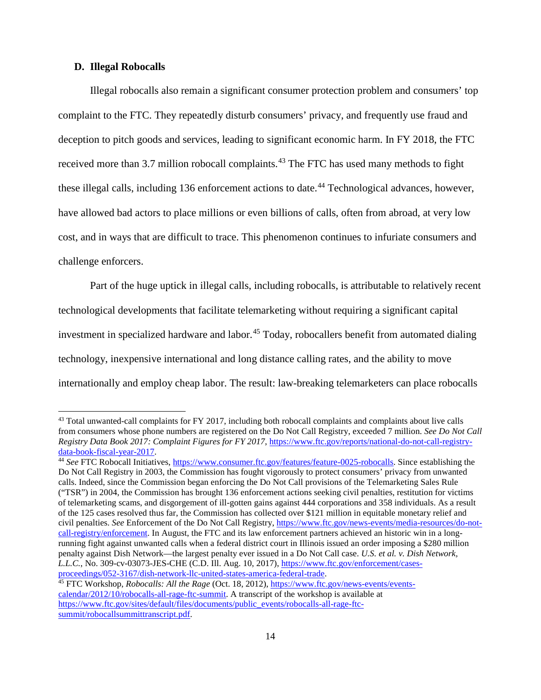#### **D. Illegal Robocalls**

Illegal robocalls also remain a significant consumer protection problem and consumers' top complaint to the FTC. They repeatedly disturb consumers' privacy, and frequently use fraud and deception to pitch goods and services, leading to significant economic harm. In FY 2018, the FTC received more than 3.7 million robocall complaints.<sup>[43](#page-14-0)</sup> The FTC has used many methods to fight these illegal calls, including 136 enforcement actions to date.<sup>[44](#page-14-1)</sup> Technological advances, however, have allowed bad actors to place millions or even billions of calls, often from abroad, at very low cost, and in ways that are difficult to trace. This phenomenon continues to infuriate consumers and challenge enforcers.

Part of the huge uptick in illegal calls, including robocalls, is attributable to relatively recent technological developments that facilitate telemarketing without requiring a significant capital investment in specialized hardware and labor.<sup>[45](#page-14-2)</sup> Today, robocallers benefit from automated dialing technology, inexpensive international and long distance calling rates, and the ability to move internationally and employ cheap labor. The result: law-breaking telemarketers can place robocalls

<span id="page-14-0"></span><sup>&</sup>lt;sup>43</sup> Total unwanted-call complaints for FY 2017, including both robocall complaints and complaints about live calls from consumers whose phone numbers are registered on the Do Not Call Registry, exceeded 7 million. *See Do Not Call Registry Data Book 2017: Complaint Figures for FY 2017*, https://www.ftc.gov/reports/national-do-not-call-registry-<br>data-book-fiscal-year-2017.

<span id="page-14-1"></span><sup>&</sup>lt;sup>44</sup> See FTC Robocall Initiatives, [https://www.consumer.ftc.gov/features/feature-0025-robocalls.](https://www.consumer.ftc.gov/features/feature-0025-robocalls) Since establishing the Do Not Call Registry in 2003, the Commission has fought vigorously to protect consumers' privacy from unwanted calls. Indeed, since the Commission began enforcing the Do Not Call provisions of the Telemarketing Sales Rule ("TSR") in 2004, the Commission has brought 136 enforcement actions seeking civil penalties, restitution for victims of telemarketing scams, and disgorgement of ill-gotten gains against 444 corporations and 358 individuals. As a result of the 125 cases resolved thus far, the Commission has collected over \$121 million in equitable monetary relief and civil penalties. *See* Enforcement of the Do Not Call Registry, [https://www.ftc.gov/news-events/media-resources/do-not](https://www.ftc.gov/news-events/media-resources/do-not-call-registry/enforcement)[call-registry/enforcement.](https://www.ftc.gov/news-events/media-resources/do-not-call-registry/enforcement) In August, the FTC and its law enforcement partners achieved an historic win in a longrunning fight against unwanted calls when a federal district court in Illinois issued an order imposing a \$280 million penalty against Dish Network—the largest penalty ever issued in a Do Not Call case. *U.S. et al. v. Dish Network, L.L.C.*, No. 309-cv-03073-JES-CHE (C.D. Ill. Aug. 10, 2017)[, https://www.ftc.gov/enforcement/cases](https://www.ftc.gov/enforcement/cases-proceedings/052-3167/dish-network-llc-united-states-america-federal-trade)[proceedings/052-3167/dish-network-llc-united-states-america-federal-trade.](https://www.ftc.gov/enforcement/cases-proceedings/052-3167/dish-network-llc-united-states-america-federal-trade)

<span id="page-14-2"></span><sup>45</sup> FTC Workshop, *Robocalls: All the Rage* (Oct. 18, 2012), [https://www.ftc.gov/news-events/events](https://www.ftc.gov/news-events/events-calendar/2012/10/robocalls-all-rage-ftc-summit)[calendar/2012/10/robocalls-all-rage-ftc-summit.](https://www.ftc.gov/news-events/events-calendar/2012/10/robocalls-all-rage-ftc-summit) A transcript of the workshop is available at [https://www.ftc.gov/sites/default/files/documents/public\\_events/robocalls-all-rage-ftc](https://www.ftc.gov/sites/default/files/documents/public_events/robocalls-all-rage-ftc%1fsummit/robocallsummittranscript.pdf)[summit/robocallsummittranscript.pdf.](https://www.ftc.gov/sites/default/files/documents/public_events/robocalls-all-rage-ftc%1fsummit/robocallsummittranscript.pdf)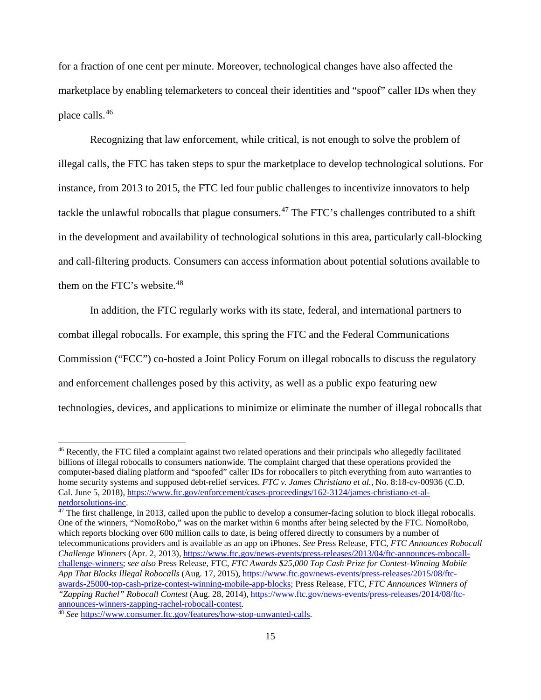for a fraction of one cent per minute. Moreover, technological changes have also affected the marketplace by enabling telemarketers to conceal their identities and "spoof" caller IDs when they place calls.[46](#page-15-0)

Recognizing that law enforcement, while critical, is not enough to solve the problem of illegal calls, the FTC has taken steps to spur the marketplace to develop technological solutions. For instance, from 2013 to 2015, the FTC led four public challenges to incentivize innovators to help tackle the unlawful robocalls that plague consumers.<sup>[47](#page-15-1)</sup> The FTC's challenges contributed to a shift in the development and availability of technological solutions in this area, particularly call-blocking and call-filtering products. Consumers can access information about potential solutions available to them on the FTC's website.<sup>[48](#page-15-2)</sup>

In addition, the FTC regularly works with its state, federal, and international partners to

combat illegal robocalls. For example, this spring the FTC and the Federal Communications

Commission ("FCC") co-hosted a Joint Policy Forum on illegal robocalls to discuss the regulatory

and enforcement challenges posed by this activity, as well as a public expo featuring new

technologies, devices, and applications to minimize or eliminate the number of illegal robocalls that

<span id="page-15-0"></span> <sup>46</sup> Recently, the FTC filed a complaint against two related operations and their principals who allegedly facilitated billions of illegal robocalls to consumers nationwide. The complaint charged that these operations provided the computer-based dialing platform and "spoofed" caller IDs for robocallers to pitch everything from auto warranties to home security systems and supposed debt-relief services. *FTC v. James Christiano et al.*, No. 8:18-cv-00936 (C.D. Cal. June 5, 2018), https://www.ftc.gov/enforcement/cases-proceedings/162-3124/james-christiano-et-al-<br>netdotsolutions-inc.

<span id="page-15-1"></span> $47$  The first challenge, in 2013, called upon the public to develop a consumer-facing solution to block illegal robocalls. One of the winners, "NomoRobo," was on the market within 6 months after being selected by the FTC. NomoRobo, which reports blocking over 600 million calls to date, is being offered directly to consumers by a number of telecommunications providers and is available as an app on iPhones. *See* Press Release, FTC, *FTC Announces Robocall Challenge Winners* (Apr. 2, 2013)[, https://www.ftc.gov/news-events/press-releases/2013/04/ftc-announces-robocall](https://www.ftc.gov/news-events/press-releases/2013/04/ftc-announces-robocall-challenge-winners)[challenge-winners;](https://www.ftc.gov/news-events/press-releases/2013/04/ftc-announces-robocall-challenge-winners) *see also* Press Release, FTC, *FTC Awards \$25,000 Top Cash Prize for Contest-Winning Mobile App That Blocks Illegal Robocalls* (Aug. 17, 2015), [https://www.ftc.gov/news-events/press-releases/2015/08/ftc](https://www.ftc.gov/news-events/press-releases/2015/08/ftc-awards-25000-top-cash-prize-contest-winning-mobile-app-blocks)[awards-25000-top-cash-prize-contest-winning-mobile-app-blocks;](https://www.ftc.gov/news-events/press-releases/2015/08/ftc-awards-25000-top-cash-prize-contest-winning-mobile-app-blocks) Press Release, FTC, *FTC Announces Winners of "Zapping Rachel" Robocall Contest* (Aug. 28, 2014)*,* [https://www.ftc.gov/news-events/press-releases/2014/08/ftc](https://www.ftc.gov/news-events/press-releases/2014/08/ftc-announces-winners-zapping-rachel-robocall-contest)[announces-winners-zapping-rachel-robocall-contest.](https://www.ftc.gov/news-events/press-releases/2014/08/ftc-announces-winners-zapping-rachel-robocall-contest)

<span id="page-15-2"></span><sup>48</sup> *See* [https://www.consumer.ftc.gov/features/how-stop-unwanted-calls.](https://www.consumer.ftc.gov/features/how-stop-unwanted-calls)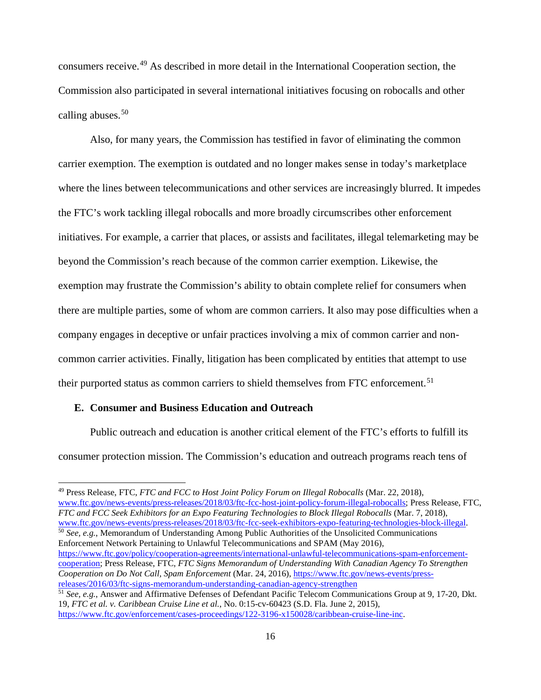consumers receive.[49](#page-16-0) As described in more detail in the International Cooperation section, the Commission also participated in several international initiatives focusing on robocalls and other calling abuses. $50$ 

Also, for many years, the Commission has testified in favor of eliminating the common carrier exemption. The exemption is outdated and no longer makes sense in today's marketplace where the lines between telecommunications and other services are increasingly blurred. It impedes the FTC's work tackling illegal robocalls and more broadly circumscribes other enforcement initiatives. For example, a carrier that places, or assists and facilitates, illegal telemarketing may be beyond the Commission's reach because of the common carrier exemption. Likewise, the exemption may frustrate the Commission's ability to obtain complete relief for consumers when there are multiple parties, some of whom are common carriers. It also may pose difficulties when a company engages in deceptive or unfair practices involving a mix of common carrier and noncommon carrier activities. Finally, litigation has been complicated by entities that attempt to use their purported status as common carriers to shield themselves from FTC enforcement.<sup>[51](#page-16-2)</sup>

#### **E. Consumer and Business Education and Outreach**

Public outreach and education is another critical element of the FTC's efforts to fulfill its consumer protection mission. The Commission's education and outreach programs reach tens of

<span id="page-16-1"></span>[www.ftc.gov/news-events/press-releases/2018/03/ftc-fcc-seek-exhibitors-expo-featuring-technologies-block-illegal.](https://www.ftc.gov/news-events/press-releases/2018/03/ftc-fcc-seek-exhibitors-expo-featuring-technologies-block-illegal) <sup>50</sup> *See, e.g.*, Memorandum of Understanding Among Public Authorities of the Unsolicited Communications Enforcement Network Pertaining to Unlawful Telecommunications and SPAM (May 2016), [https://www.ftc.gov/policy/cooperation-agreements/international-unlawful-telecommunications-spam-enforcement](https://www.ftc.gov/policy/cooperation-agreements/international-unlawful-telecommunications-spam-enforcement-cooperation)[cooperation;](https://www.ftc.gov/policy/cooperation-agreements/international-unlawful-telecommunications-spam-enforcement-cooperation) Press Release, FTC, *FTC Signs Memorandum of Understanding With Canadian Agency To Strengthen Cooperation on Do Not Call, Spam Enforcement* (Mar. 24, 2016), [https://www.ftc.gov/news-events/press](https://www.ftc.gov/news-events/press-releases/2016/03/ftc-signs-memorandum-understanding-canadian-agency-strengthen)[releases/2016/03/ftc-signs-memorandum-understanding-canadian-agency-strengthen](https://www.ftc.gov/news-events/press-releases/2016/03/ftc-signs-memorandum-understanding-canadian-agency-strengthen)

<span id="page-16-0"></span> <sup>49</sup> Press Release, FTC, *FTC and FCC to Host Joint Policy Forum on Illegal Robocalls* (Mar. 22, 2018), [www.ftc.gov/news-events/press-releases/2018/03/ftc-fcc-host-joint-policy-forum-illegal-robocalls;](https://www.ftc.gov/news-events/press-releases/2018/03/ftc-fcc-host-joint-policy-forum-illegal-robocalls) Press Release, FTC, *FTC and FCC Seek Exhibitors for an Expo Featuring Technologies to Block Illegal Robocalls* (Mar. 7, 2018),

<span id="page-16-2"></span><sup>51</sup> *See, e.g.*, Answer and Affirmative Defenses of Defendant Pacific Telecom Communications Group at 9, 17-20, Dkt. 19, *FTC et al. v. Caribbean Cruise Line et al.*, No. 0:15-cv-60423 (S.D. Fla. June 2, 2015), [https://www.ftc.gov/enforcement/cases-proceedings/122-3196-x150028/caribbean-cruise-line-inc.](https://www.ftc.gov/enforcement/cases-proceedings/122-3196-x150028/caribbean-cruise-line-inc)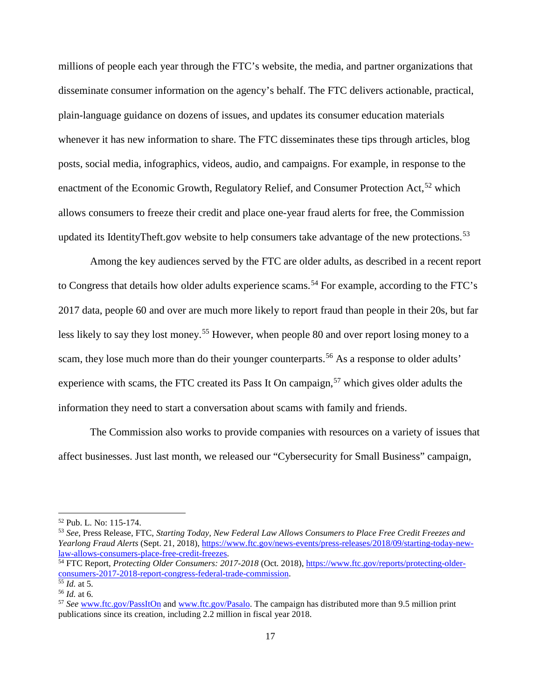millions of people each year through the FTC's website, the media, and partner organizations that disseminate consumer information on the agency's behalf. The FTC delivers actionable, practical, plain-language guidance on dozens of issues, and updates its consumer education materials whenever it has new information to share. The FTC disseminates these tips through articles, blog posts, social media, infographics, videos, audio, and campaigns. For example, in response to the enactment of the Economic Growth, Regulatory Relief, and Consumer Protection Act,  $52$  which allows consumers to freeze their credit and place one-year fraud alerts for free, the Commission updated its IdentityTheft.gov website to help consumers take advantage of the new protections.<sup>[53](#page-17-1)</sup>

Among the key audiences served by the FTC are older adults, as described in a recent report to Congress that details how older adults experience scams.<sup>[54](#page-17-2)</sup> For example, according to the FTC's 2017 data, people 60 and over are much more likely to report fraud than people in their 20s, but far less likely to say they lost money.<sup>[55](#page-17-3)</sup> However, when people 80 and over report losing money to a scam, they lose much more than do their younger counterparts.<sup>[56](#page-17-4)</sup> As a response to older adults' experience with scams, the FTC created its Pass It On campaign,  $57$  which gives older adults the information they need to start a conversation about scams with family and friends.

The Commission also works to provide companies with resources on a variety of issues that affect businesses. Just last month, we released our "Cybersecurity for Small Business" campaign,

<span id="page-17-0"></span> <sup>52</sup> Pub. L. No: 115-174.

<span id="page-17-1"></span><sup>53</sup> *See*, Press Release, FTC, *Starting Today, New Federal Law Allows Consumers to Place Free Credit Freezes and Yearlong Fraud Alerts* (Sept. 21, 2018)[, https://www.ftc.gov/news-events/press-releases/2018/09/starting-today-new](https://www.ftc.gov/news-events/press-releases/2018/09/starting-today-new-law-allows-consumers-place-free-credit-freezes)[law-allows-consumers-place-free-credit-freezes.](https://www.ftc.gov/news-events/press-releases/2018/09/starting-today-new-law-allows-consumers-place-free-credit-freezes)

<span id="page-17-2"></span><sup>54</sup> FTC Report, *Protecting Older Consumers: 2017-2018* (Oct. 2018)[, https://www.ftc.gov/reports/protecting-older](https://www.ftc.gov/reports/protecting-older-consumers-2017-2018-report-congress-federal-trade-commission)[consumers-2017-2018-report-congress-federal-trade-commission.](https://www.ftc.gov/reports/protecting-older-consumers-2017-2018-report-congress-federal-trade-commission) 55 *Id.* at 5.

<span id="page-17-4"></span><span id="page-17-3"></span><sup>56</sup> *Id.* at 6.

<span id="page-17-5"></span><sup>57</sup> *See* [www.ftc.gov/PassItOn](http://www.ftc.gov/PassItOn) and [www.ftc.gov/Pasalo.](http://www.ftc.gov/Pasalo) The campaign has distributed more than 9.5 million print publications since its creation, including 2.2 million in fiscal year 2018.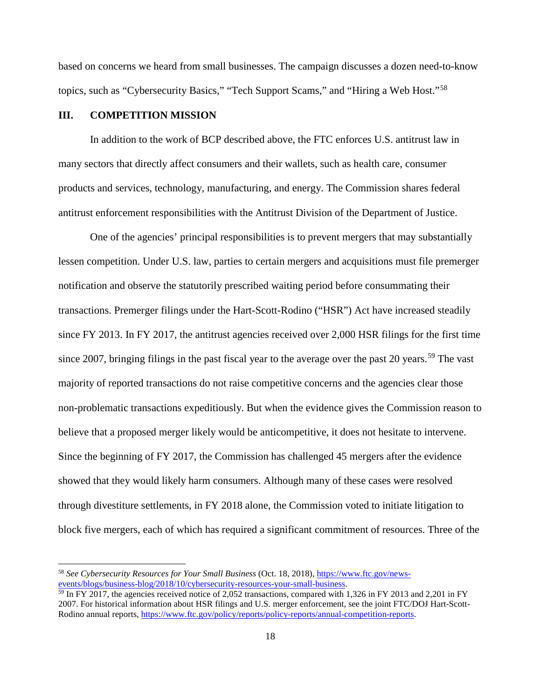based on concerns we heard from small businesses. The campaign discusses a dozen need-to-know topics, such as "Cybersecurity Basics," "Tech Support Scams," and "Hiring a Web Host."[58](#page-18-0)

#### **III. COMPETITION MISSION**

In addition to the work of BCP described above, the FTC enforces U.S. antitrust law in many sectors that directly affect consumers and their wallets, such as health care, consumer products and services, technology, manufacturing, and energy. The Commission shares federal antitrust enforcement responsibilities with the Antitrust Division of the Department of Justice.

One of the agencies' principal responsibilities is to prevent mergers that may substantially lessen competition. Under U.S. law, parties to certain mergers and acquisitions must file premerger notification and observe the statutorily prescribed waiting period before consummating their transactions. Premerger filings under the Hart-Scott-Rodino ("HSR") Act have increased steadily since FY 2013. In FY 2017, the antitrust agencies received over 2,000 HSR filings for the first time since 2007, bringing filings in the past fiscal year to the average over the past 20 years.<sup>[59](#page-18-1)</sup> The vast majority of reported transactions do not raise competitive concerns and the agencies clear those non-problematic transactions expeditiously. But when the evidence gives the Commission reason to believe that a proposed merger likely would be anticompetitive, it does not hesitate to intervene. Since the beginning of FY 2017, the Commission has challenged 45 mergers after the evidence showed that they would likely harm consumers. Although many of these cases were resolved through divestiture settlements, in FY 2018 alone, the Commission voted to initiate litigation to block five mergers, each of which has required a significant commitment of resources. Three of the

<span id="page-18-0"></span> <sup>58</sup> *See Cybersecurity Resources for Your Small Business* (Oct. 18, 2018)[, https://www.ftc.gov/news](https://www.ftc.gov/news-events/blogs/business-blog/2018/10/cybersecurity-resources-your-small-business)[events/blogs/business-blog/2018/10/cybersecurity-resources-your-small-business.](https://www.ftc.gov/news-events/blogs/business-blog/2018/10/cybersecurity-resources-your-small-business)

<span id="page-18-1"></span> $\frac{59 \text{ In FY } 2017$ , the agencies received notice of 2,052 transactions, compared with 1,326 in FY 2013 and 2,201 in FY 2007. For historical information about HSR filings and U.S. merger enforcement, see the joint FTC/DOJ Hart-Scott-Rodino annual reports, [https://www.ftc.gov/policy/reports/policy-reports/annual-competition-reports.](https://www.ftc.gov/policy/reports/policy-reports/annual-competition-reports)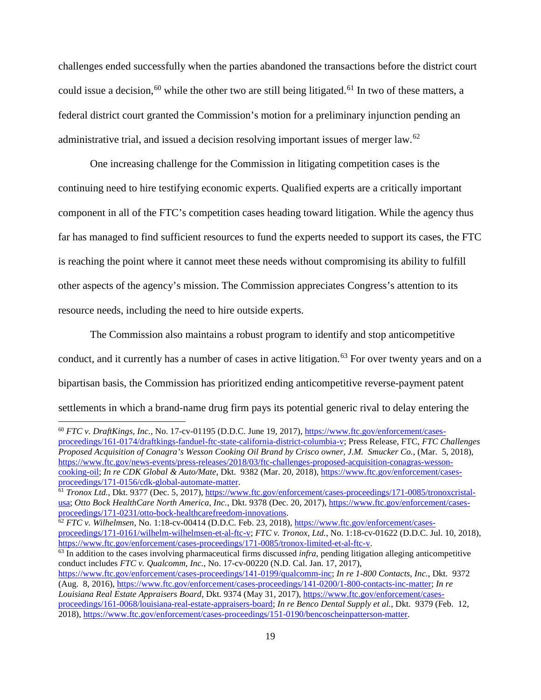challenges ended successfully when the parties abandoned the transactions before the district court could issue a decision,<sup>[60](#page-19-0)</sup> while the other two are still being litigated.<sup>[61](#page-19-1)</sup> In two of these matters, a federal district court granted the Commission's motion for a preliminary injunction pending an administrative trial, and issued a decision resolving important issues of merger law.[62](#page-19-2)

One increasing challenge for the Commission in litigating competition cases is the continuing need to hire testifying economic experts. Qualified experts are a critically important component in all of the FTC's competition cases heading toward litigation. While the agency thus far has managed to find sufficient resources to fund the experts needed to support its cases, the FTC is reaching the point where it cannot meet these needs without compromising its ability to fulfill other aspects of the agency's mission. The Commission appreciates Congress's attention to its resource needs, including the need to hire outside experts.

The Commission also maintains a robust program to identify and stop anticompetitive conduct, and it currently has a number of cases in active litigation.<sup>[63](#page-19-3)</sup> For over twenty years and on a bipartisan basis, the Commission has prioritized ending anticompetitive reverse-payment patent settlements in which a brand-name drug firm pays its potential generic rival to delay entering the

<span id="page-19-0"></span> <sup>60</sup> *FTC v. DraftKings, Inc.*, No. 17-cv-01195 (D.D.C. June 19, 2017), [https://www.ftc.gov/enforcement/cases](https://www.ftc.gov/enforcement/cases-proceedings/161-0174/draftkings-fanduel-ftc-state-california-district-columbia-v)[proceedings/161-0174/draftkings-fanduel-ftc-state-california-district-columbia-v;](https://www.ftc.gov/enforcement/cases-proceedings/161-0174/draftkings-fanduel-ftc-state-california-district-columbia-v) Press Release, FTC, *FTC Challenges Proposed Acquisition of Conagra's Wesson Cooking Oil Brand by Crisco owner, J.M. Smucker Co.*, (Mar. 5, 2018), [https://www.ftc.gov/news-events/press-releases/2018/03/ftc-challenges-proposed-acquisition-conagras-wesson](https://www.ftc.gov/news-events/press-releases/2018/03/ftc-challenges-proposed-acquisition-conagras-wesson-cooking-oil)[cooking-oil;](https://www.ftc.gov/news-events/press-releases/2018/03/ftc-challenges-proposed-acquisition-conagras-wesson-cooking-oil) *In re CDK Global & Auto/Mate*, Dkt. 9382 (Mar. 20, 2018), https://www.ftc.gov/enforcement/cases-<br>proceedings/171-0156/cdk-global-automate-matter.

<span id="page-19-1"></span><sup>&</sup>lt;sup>61</sup> *Tronox Ltd.*, Dkt. 9377 (Dec. 5, 2017)[, https://www.ftc.gov/enforcement/cases-proceedings/171-0085/tronoxcristal](https://www.ftc.gov/enforcement/cases-proceedings/171-0085/tronoxcristal-usa)[usa;](https://www.ftc.gov/enforcement/cases-proceedings/171-0085/tronoxcristal-usa) *Otto Bock HealthCare North America, Inc.*, Dkt. 9378 (Dec. 20, 2017), https://www.ftc.gov/enforcement/cases-<br>proceedings/171-0231/otto-bock-healthcarefreedom-innovations.

<span id="page-19-2"></span>[proceedings/171-0231/otto-bock-healthcarefreedom-innovations.](https://www.ftc.gov/enforcement/cases-proceedings/171-0231/otto-bock-healthcarefreedom-innovations) 62 *FTC v. Wilhelmsen*, No. 1:18-cv-00414 (D.D.C. Feb. 23, 2018), [https://www.ftc.gov/enforcement/cases](https://www.ftc.gov/enforcement/cases-proceedings/171-0161/wilhelm-wilhelmsen-et-al-ftc-v)[proceedings/171-0161/wilhelm-wilhelmsen-et-al-ftc-v;](https://www.ftc.gov/enforcement/cases-proceedings/171-0161/wilhelm-wilhelmsen-et-al-ftc-v) *FTC v. Tronox, Ltd.*, No. 1:18-cv-01622 (D.D.C. Jul. 10, 2018), [https://www.ftc.gov/enforcement/cases-proceedings/171-0085/tronox-limited-et-al-ftc-v.](https://www.ftc.gov/enforcement/cases-proceedings/171-0085/tronox-limited-et-al-ftc-v)

<span id="page-19-3"></span><sup>&</sup>lt;sup>63</sup> In addition to the cases involving pharmaceutical firms discussed *infra*, pending litigation alleging anticompetitive conduct includes *FTC v. Qualcomm, Inc.*, No. 17-cv-00220 (N.D. Cal. Jan. 17, 2017),

[https://www.ftc.gov/enforcement/cases-proceedings/141-0199/qualcomm-inc;](https://www.ftc.gov/enforcement/cases-proceedings/141-0199/qualcomm-inc) *In re 1-800 Contacts, Inc.*, Dkt. 9372 (Aug. 8, 2016), [https://www.ftc.gov/enforcement/cases-proceedings/141-0200/1-800-contacts-inc-matter;](https://www.ftc.gov/enforcement/cases-proceedings/141-0200/1-800-contacts-inc-matter) *In re Louisiana Real Estate Appraisers Board*, Dkt. 9374 (May 31, 2017), [https://www.ftc.gov/enforcement/cases](https://www.ftc.gov/enforcement/cases-proceedings/161-0068/louisiana-real-estate-appraisers-board)[proceedings/161-0068/louisiana-real-estate-appraisers-board;](https://www.ftc.gov/enforcement/cases-proceedings/161-0068/louisiana-real-estate-appraisers-board) *In re Benco Dental Supply et al.*, Dkt. 9379 (Feb. 12, 2018), [https://www.ftc.gov/enforcement/cases-proceedings/151-0190/bencoscheinpatterson-matter.](https://www.ftc.gov/enforcement/cases-proceedings/151-0190/bencoscheinpatterson-matter)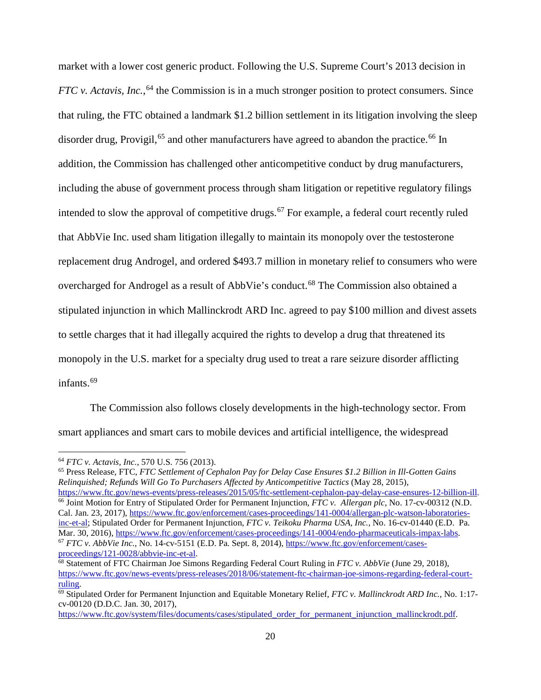market with a lower cost generic product. Following the U.S. Supreme Court's 2013 decision in *FTC v. Actavis, Inc.*, <sup>[64](#page-20-0)</sup> the Commission is in a much stronger position to protect consumers. Since that ruling, the FTC obtained a landmark \$1.2 billion settlement in its litigation involving the sleep disorder drug, Provigil,<sup>[65](#page-20-1)</sup> and other manufacturers have agreed to abandon the practice.<sup>[66](#page-20-2)</sup> In addition, the Commission has challenged other anticompetitive conduct by drug manufacturers, including the abuse of government process through sham litigation or repetitive regulatory filings intended to slow the approval of competitive drugs.<sup>[67](#page-20-3)</sup> For example, a federal court recently ruled that AbbVie Inc. used sham litigation illegally to maintain its monopoly over the testosterone replacement drug Androgel, and ordered \$493.7 million in monetary relief to consumers who were overcharged for Androgel as a result of AbbVie's conduct.<sup>[68](#page-20-4)</sup> The Commission also obtained a stipulated injunction in which Mallinckrodt ARD Inc. agreed to pay \$100 million and divest assets to settle charges that it had illegally acquired the rights to develop a drug that threatened its monopoly in the U.S. market for a specialty drug used to treat a rare seizure disorder afflicting infants.<sup>[69](#page-20-5)</sup>

The Commission also follows closely developments in the high-technology sector. From smart appliances and smart cars to mobile devices and artificial intelligence, the widespread

<span id="page-20-2"></span><span id="page-20-1"></span><sup>65</sup> Press Release, FTC, *FTC Settlement of Cephalon Pay for Delay Case Ensures \$1.2 Billion in Ill-Gotten Gains Relinquished; Refunds Will Go To Purchasers Affected by Anticompetitive Tactics* (May 28, 2015), https://www.ftc.gov/news-events/press-releases/2015/05/ftc-settlement-cephalon-pay-delay-case-ensures-12-billion-ill.<br><sup>66</sup> Joint Motion for Entry of Stipulated Order for Permanent Injunction, *FTC* v. Allergan plc, No. 17-Cal. Jan. 23, 2017)[, https://www.ftc.gov/enforcement/cases-proceedings/141-0004/allergan-plc-watson-laboratories](https://www.ftc.gov/enforcement/cases-proceedings/141-0004/allergan-plc-watson-laboratories-inc-et-al)[inc-et-al;](https://www.ftc.gov/enforcement/cases-proceedings/141-0004/allergan-plc-watson-laboratories-inc-et-al) Stipulated Order for Permanent Injunction, *FTC v. Teikoku Pharma USA, Inc.*, No. 16-cv-01440 (E.D. Pa.<br>Mar. 30, 2016), https://www.ftc.gov/enforcement/cases-proceedings/141-0004/endo-pharmaceuticals-impax-labs.  $^{67}$  FTC v. AbbVie Inc., No. 14-cv-5151 (E.D. Pa. Sept. 8, 2014)[, https://www.ftc.gov/enforcement/cases](https://www.ftc.gov/enforcement/cases-proceedings/121-0028/abbvie-inc-et-al)[proceedings/121-0028/abbvie-inc-et-al.](https://www.ftc.gov/enforcement/cases-proceedings/121-0028/abbvie-inc-et-al)

<span id="page-20-0"></span> <sup>64</sup> *FTC v. Actavis, Inc.*, 570 U.S. 756 (2013).

<span id="page-20-4"></span><span id="page-20-3"></span><sup>68</sup> Statement of FTC Chairman Joe Simons Regarding Federal Court Ruling in *FTC v. AbbVie* (June 29, 2018), https://www.ftc.gov/news-events/press-releases/2018/06/statement-ftc-chairman-joe-simons-regarding-federal-court-<br>ruling.

<span id="page-20-5"></span><sup>&</sup>lt;sup>69</sup> Stipulated Order for Permanent Injunction and Equitable Monetary Relief, *FTC v. Mallinckrodt ARD Inc.*, No. 1:17cv-00120 (D.D.C. Jan. 30, 2017),

[https://www.ftc.gov/system/files/documents/cases/stipulated\\_order\\_for\\_permanent\\_injunction\\_mallinckrodt.pdf.](https://www.ftc.gov/system/files/documents/cases/stipulated_order_for_permanent_injunction_mallinckrodt.pdf)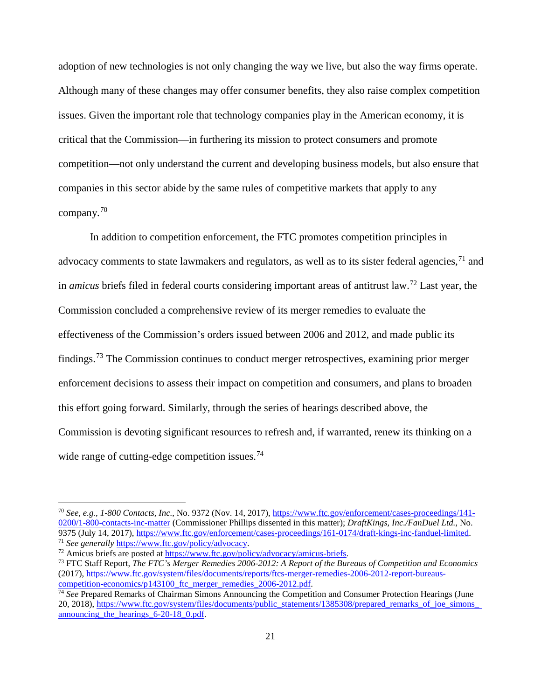adoption of new technologies is not only changing the way we live, but also the way firms operate. Although many of these changes may offer consumer benefits, they also raise complex competition issues. Given the important role that technology companies play in the American economy, it is critical that the Commission—in furthering its mission to protect consumers and promote competition—not only understand the current and developing business models, but also ensure that companies in this sector abide by the same rules of competitive markets that apply to any company.[70](#page-21-0)

In addition to competition enforcement, the FTC promotes competition principles in advocacy comments to state lawmakers and regulators, as well as to its sister federal agencies,<sup>[71](#page-21-1)</sup> and in *amicus* briefs filed in federal courts considering important areas of antitrust law. [72](#page-21-2) Last year, the Commission concluded a comprehensive review of its merger remedies to evaluate the effectiveness of the Commission's orders issued between 2006 and 2012, and made public its findings.<sup>[73](#page-21-3)</sup> The Commission continues to conduct merger retrospectives, examining prior merger enforcement decisions to assess their impact on competition and consumers, and plans to broaden this effort going forward. Similarly, through the series of hearings described above, the Commission is devoting significant resources to refresh and, if warranted, renew its thinking on a wide range of cutting-edge competition issues.<sup>[74](#page-21-4)</sup>

<span id="page-21-0"></span> <sup>70</sup> *See, e.g.*, *1-800 Contacts, Inc.*, No. 9372 (Nov. 14, 2017)[, https://www.ftc.gov/enforcement/cases-proceedings/141-](https://www.ftc.gov/enforcement/cases-proceedings/141-0200/1-800-contacts-inc-matter) [0200/1-800-contacts-inc-matter](https://www.ftc.gov/enforcement/cases-proceedings/141-0200/1-800-contacts-inc-matter) (Commissioner Phillips dissented in this matter); *DraftKings, Inc./FanDuel Ltd.*, No. 9375 (July 14, 2017), [https://www.ftc.gov/enforcement/cases-proceedings/161-0174/draft-kings-inc-fanduel-limited.](https://www.ftc.gov/enforcement/cases-proceedings/161-0174/draft-kings-inc-fanduel-limited) 71 *See generally* [https://www.ftc.gov/policy/advocacy.](https://www.ftc.gov/policy/advocacy)

<span id="page-21-2"></span><span id="page-21-1"></span><sup>72</sup> Amicus briefs are posted at [https://www.ftc.gov/policy/advocacy/amicus-briefs.](https://www.ftc.gov/policy/advocacy/amicus-briefs)

<span id="page-21-3"></span><sup>73</sup> FTC Staff Report, *The FTC's Merger Remedies 2006-2012: A Report of the Bureaus of Competition and Economics*  (2017), https://www.ftc.gov/system/files/documents/reports/ftcs-merger-remedies-2006-2012-report-bureaus-<br>competition-economics/p143100 ftc merger remedies 2006-2012.pdf.

<span id="page-21-4"></span><sup>&</sup>lt;sup>74</sup> See Prepared Remarks of Chairman Simons Announcing the Competition and Consumer Protection Hearings (June 20, 2018), https://www.ftc.gov/system/files/documents/public\_statements/1385308/prepared\_remarks\_of\_joe\_simons announcing the hearings 6-20-18 0.pdf.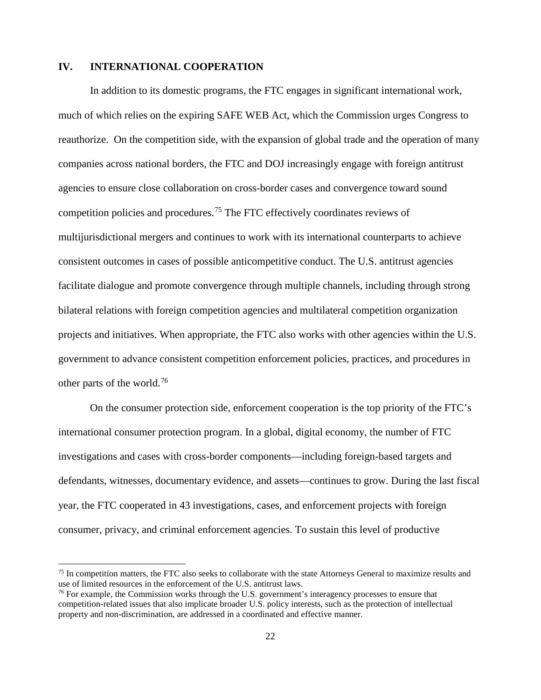#### **IV. INTERNATIONAL COOPERATION**

In addition to its domestic programs, the FTC engages in significant international work, much of which relies on the expiring SAFE WEB Act, which the Commission urges Congress to reauthorize. On the competition side, with the expansion of global trade and the operation of many companies across national borders, the FTC and DOJ increasingly engage with foreign antitrust agencies to ensure close collaboration on cross-border cases and convergence toward sound competition policies and procedures.[75](#page-22-0) The FTC effectively coordinates reviews of multijurisdictional mergers and continues to work with its international counterparts to achieve consistent outcomes in cases of possible anticompetitive conduct. The U.S. antitrust agencies facilitate dialogue and promote convergence through multiple channels, including through strong bilateral relations with foreign competition agencies and multilateral competition organization projects and initiatives. When appropriate, the FTC also works with other agencies within the U.S. government to advance consistent competition enforcement policies, practices, and procedures in other parts of the world.[76](#page-22-1)

On the consumer protection side, enforcement cooperation is the top priority of the FTC's international consumer protection program. In a global, digital economy, the number of FTC investigations and cases with cross-border components—including foreign-based targets and defendants, witnesses, documentary evidence, and assets—continues to grow. During the last fiscal year, the FTC cooperated in 43 investigations, cases, and enforcement projects with foreign consumer, privacy, and criminal enforcement agencies. To sustain this level of productive

<span id="page-22-0"></span><sup>&</sup>lt;sup>75</sup> In competition matters, the FTC also seeks to collaborate with the state Attorneys General to maximize results and use of limited resources in the enforcement of the U.S. antitrust laws.

<span id="page-22-1"></span> $<sup>76</sup>$  For example, the Commission works through the U.S. government's interagency processes to ensure that</sup> competition-related issues that also implicate broader U.S. policy interests, such as the protection of intellectual property and non-discrimination, are addressed in a coordinated and effective manner.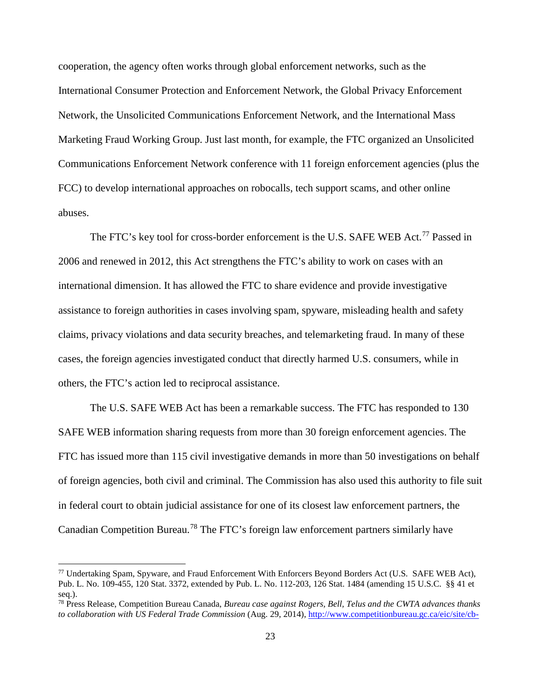cooperation, the agency often works through global enforcement networks, such as the International Consumer Protection and Enforcement Network, the Global Privacy Enforcement Network, the Unsolicited Communications Enforcement Network, and the International Mass Marketing Fraud Working Group. Just last month, for example, the FTC organized an Unsolicited Communications Enforcement Network conference with 11 foreign enforcement agencies (plus the FCC) to develop international approaches on robocalls, tech support scams, and other online abuses.

The FTC's key tool for cross-border enforcement is the U.S. SAFE WEB Act.<sup>[77](#page-23-0)</sup> Passed in 2006 and renewed in 2012, this Act strengthens the FTC's ability to work on cases with an international dimension. It has allowed the FTC to share evidence and provide investigative assistance to foreign authorities in cases involving spam, spyware, misleading health and safety claims, privacy violations and data security breaches, and telemarketing fraud. In many of these cases, the foreign agencies investigated conduct that directly harmed U.S. consumers, while in others, the FTC's action led to reciprocal assistance.

The U.S. SAFE WEB Act has been a remarkable success. The FTC has responded to 130 SAFE WEB information sharing requests from more than 30 foreign enforcement agencies. The FTC has issued more than 115 civil investigative demands in more than 50 investigations on behalf of foreign agencies, both civil and criminal. The Commission has also used this authority to file suit in federal court to obtain judicial assistance for one of its closest law enforcement partners, the Canadian Competition Bureau.[78](#page-23-1) The FTC's foreign law enforcement partners similarly have

<span id="page-23-0"></span> <sup>77</sup> Undertaking Spam, Spyware, and Fraud Enforcement With Enforcers Beyond Borders Act (U.S. SAFE WEB Act), Pub. L. No. 109-455, 120 Stat. 3372, extended by Pub. L. No. 112-203, 126 Stat. 1484 (amending 15 U.S.C. §§ 41 et seq.).

<span id="page-23-1"></span><sup>78</sup> Press Release, Competition Bureau Canada, *Bureau case against Rogers, Bell, Telus and the CWTA advances thanks to collaboration with US Federal Trade Commission* (Aug. 29, 2014), [http://www.competitionbureau.gc.ca/eic/site/cb-](http://www.competitionbureau.gc.ca/eic/site/cb-bc.nsf/eng/03805.html)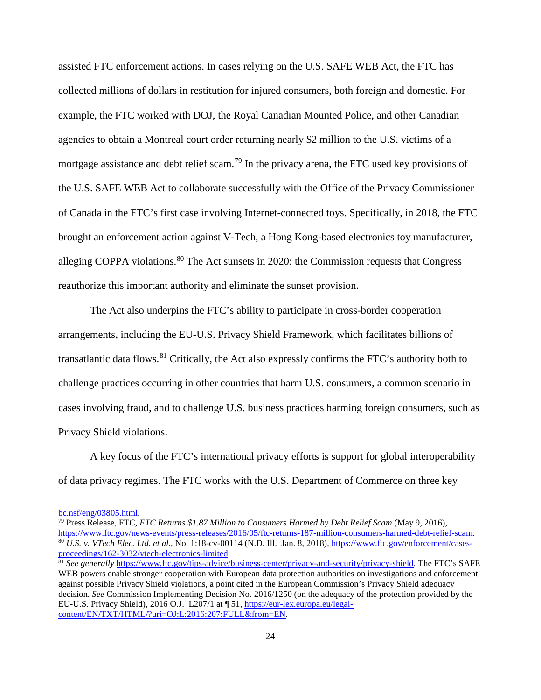assisted FTC enforcement actions. In cases relying on the U.S. SAFE WEB Act, the FTC has collected millions of dollars in restitution for injured consumers, both foreign and domestic. For example, the FTC worked with DOJ, the Royal Canadian Mounted Police, and other Canadian agencies to obtain a Montreal court order returning nearly \$2 million to the U.S. victims of a mortgage assistance and debt relief scam.[79](#page-24-0) In the privacy arena, the FTC used key provisions of the U.S. SAFE WEB Act to collaborate successfully with the Office of the Privacy Commissioner of Canada in the FTC's first case involving Internet-connected toys. Specifically, in 2018, the FTC brought an enforcement action against V-Tech, a Hong Kong-based electronics toy manufacturer, alleging COPPA violations. <sup>[80](#page-24-1)</sup> The Act sunsets in 2020: the Commission requests that Congress reauthorize this important authority and eliminate the sunset provision.

The Act also underpins the FTC's ability to participate in cross-border cooperation arrangements, including the EU-U.S. Privacy Shield Framework, which facilitates billions of transatlantic data flows.[81](#page-24-2) Critically, the Act also expressly confirms the FTC's authority both to challenge practices occurring in other countries that harm U.S. consumers, a common scenario in cases involving fraud, and to challenge U.S. business practices harming foreign consumers, such as Privacy Shield violations.

A key focus of the FTC's international privacy efforts is support for global interoperability of data privacy regimes. The FTC works with the U.S. Department of Commerce on three key

 $\overline{a}$ 

[bc.nsf/eng/03805.html.](http://www.competitionbureau.gc.ca/eic/site/cb-bc.nsf/eng/03805.html)

<span id="page-24-1"></span><span id="page-24-0"></span><sup>79</sup> Press Release, FTC, *FTC Returns \$1.87 Million to Consumers Harmed by Debt Relief Scam* (May 9, 2016), [https://www.ftc.gov/news-events/press-releases/2016/05/ftc-returns-187-million-consumers-harmed-debt-relief-scam.](https://www.ftc.gov/news-events/press-releases/2016/05/ftc-returns-187-million-consumers-harmed-debt-relief-scam) <sup>80</sup> *U.S. v. VTech Elec. Ltd. et al.*, No. 1:18-cv-00114 (N.D. Ill. Jan. 8, 2018), [https://www.ftc.gov/enforcement/cases](https://www.ftc.gov/enforcement/cases-proceedings/162-3032/vtech-electronics-limited)[proceedings/162-3032/vtech-electronics-limited.](https://www.ftc.gov/enforcement/cases-proceedings/162-3032/vtech-electronics-limited)<br><sup>81</sup> *See generally* [https://www.ftc.gov/tips-advice/business-center/privacy-and-security/privacy-shield.](https://www.ftc.gov/tips-advice/business-center/privacy-and-security/privacy-shield) The FTC's SAFE

<span id="page-24-2"></span>WEB powers enable stronger cooperation with European data protection authorities on investigations and enforcement against possible Privacy Shield violations, a point cited in the European Commission's Privacy Shield adequacy decision. *See* Commission Implementing Decision No. 2016/1250 (on the adequacy of the protection provided by the EU-U.S. Privacy Shield), 2016 O.J. L207/1 at ¶ 51[, https://eur-lex.europa.eu/legal](https://eur-lex.europa.eu/legal-content/EN/TXT/HTML/?uri=OJ:L:2016:207:FULL&from=EN)[content/EN/TXT/HTML/?uri=OJ:L:2016:207:FULL&from=EN.](https://eur-lex.europa.eu/legal-content/EN/TXT/HTML/?uri=OJ:L:2016:207:FULL&from=EN)